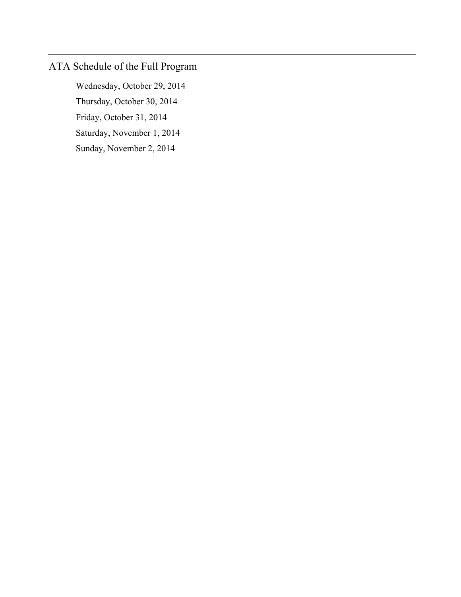# ATA Schedule of the Full Program

 Wednesday, October 29, 2014 Thursday, October 30, 2014 Friday, October 31, 2014 Saturday, November 1, 2014 Sunday, November 2, 2014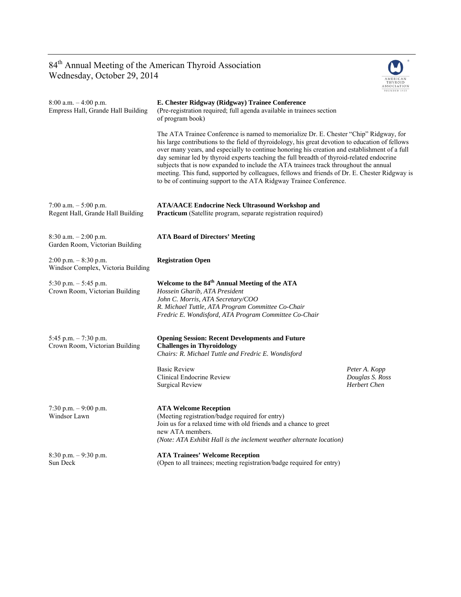## 84<sup>th</sup> Annual Meeting of the American Thyroid Association Wednesday, October 29, 2014



| $8:00$ a.m. $-4:00$ p.m.<br>Empress Hall, Grande Hall Building | E. Chester Ridgway (Ridgway) Trainee Conference<br>(Pre-registration required; full agenda available in trainees section<br>of program book)                                                                                                                                                                                                                                                                                                                                                                                                                                                                                                            |                                                         |
|----------------------------------------------------------------|---------------------------------------------------------------------------------------------------------------------------------------------------------------------------------------------------------------------------------------------------------------------------------------------------------------------------------------------------------------------------------------------------------------------------------------------------------------------------------------------------------------------------------------------------------------------------------------------------------------------------------------------------------|---------------------------------------------------------|
|                                                                | The ATA Trainee Conference is named to memorialize Dr. E. Chester "Chip" Ridgway, for<br>his large contributions to the field of thyroidology, his great devotion to education of fellows<br>over many years, and especially to continue honoring his creation and establishment of a full<br>day seminar led by thyroid experts teaching the full breadth of thyroid-related endocrine<br>subjects that is now expanded to include the ATA trainees track throughout the annual<br>meeting. This fund, supported by colleagues, fellows and friends of Dr. E. Chester Ridgway is<br>to be of continuing support to the ATA Ridgway Trainee Conference. |                                                         |
| 7:00 a.m. $-5:00$ p.m.<br>Regent Hall, Grande Hall Building    | <b>ATA/AACE Endocrine Neck Ultrasound Workshop and</b><br>Practicum (Satellite program, separate registration required)                                                                                                                                                                                                                                                                                                                                                                                                                                                                                                                                 |                                                         |
| 8:30 a.m. $-2:00$ p.m.<br>Garden Room, Victorian Building      | <b>ATA Board of Directors' Meeting</b>                                                                                                                                                                                                                                                                                                                                                                                                                                                                                                                                                                                                                  |                                                         |
| $2:00$ p.m. $-8:30$ p.m.<br>Windsor Complex, Victoria Building | <b>Registration Open</b>                                                                                                                                                                                                                                                                                                                                                                                                                                                                                                                                                                                                                                |                                                         |
| 5:30 p.m. $-$ 5:45 p.m.<br>Crown Room, Victorian Building      | Welcome to the 84 <sup>th</sup> Annual Meeting of the ATA<br>Hossein Gharib, ATA President<br>John C. Morris, ATA Secretary/COO<br>R. Michael Tuttle, ATA Program Committee Co-Chair<br>Fredric E. Wondisford, ATA Program Committee Co-Chair                                                                                                                                                                                                                                                                                                                                                                                                           |                                                         |
| 5:45 p.m. $-7:30$ p.m.<br>Crown Room, Victorian Building       | <b>Opening Session: Recent Developments and Future</b><br><b>Challenges in Thyroidology</b><br>Chairs: R. Michael Tuttle and Fredric E. Wondisford                                                                                                                                                                                                                                                                                                                                                                                                                                                                                                      |                                                         |
|                                                                | <b>Basic Review</b><br>Clinical Endocrine Review<br>Surgical Review                                                                                                                                                                                                                                                                                                                                                                                                                                                                                                                                                                                     | Peter A. Kopp<br>Douglas S. Ross<br><b>Herbert Chen</b> |
| 7:30 p.m. $-9:00$ p.m.<br>Windsor Lawn                         | <b>ATA Welcome Reception</b><br>(Meeting registration/badge required for entry)<br>Join us for a relaxed time with old friends and a chance to greet<br>new ATA members.<br>(Note: ATA Exhibit Hall is the inclement weather alternate location)                                                                                                                                                                                                                                                                                                                                                                                                        |                                                         |
| $8:30$ p.m. $-9:30$ p.m.<br>Sun Deck                           | <b>ATA Trainees' Welcome Reception</b><br>(Open to all trainees; meeting registration/badge required for entry)                                                                                                                                                                                                                                                                                                                                                                                                                                                                                                                                         |                                                         |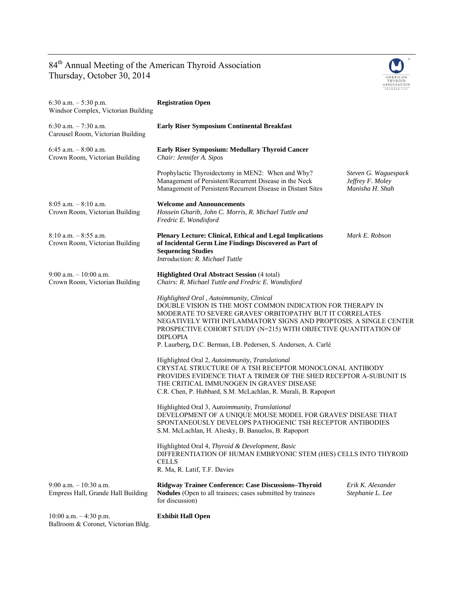## 84<sup>th</sup> Annual Meeting of the American Thyroid Association Thursday, October 30, 2014



| 6:30 a.m. $-5:30$ p.m.<br>Windsor Complex, Victorian Building                                                                                                                                                                        | <b>Registration Open</b>                                                                                                                                                                                                                                                                                                                                                                                                                                                                                                                                                                                                                                                                                                                                                                                      |                                                             |
|--------------------------------------------------------------------------------------------------------------------------------------------------------------------------------------------------------------------------------------|---------------------------------------------------------------------------------------------------------------------------------------------------------------------------------------------------------------------------------------------------------------------------------------------------------------------------------------------------------------------------------------------------------------------------------------------------------------------------------------------------------------------------------------------------------------------------------------------------------------------------------------------------------------------------------------------------------------------------------------------------------------------------------------------------------------|-------------------------------------------------------------|
| 6:30 a.m. $-7:30$ a.m.<br>Carousel Room, Victorian Building                                                                                                                                                                          | <b>Early Riser Symposium Continental Breakfast</b>                                                                                                                                                                                                                                                                                                                                                                                                                                                                                                                                                                                                                                                                                                                                                            |                                                             |
| 6:45 a.m. $-8:00$ a.m.<br>Crown Room, Victorian Building                                                                                                                                                                             | <b>Early Riser Symposium: Medullary Thyroid Cancer</b><br>Chair: Jennifer A. Sipos                                                                                                                                                                                                                                                                                                                                                                                                                                                                                                                                                                                                                                                                                                                            |                                                             |
|                                                                                                                                                                                                                                      | Prophylactic Thyroidectomy in MEN2: When and Why?<br>Management of Persistent/Recurrent Disease in the Neck<br>Management of Persistent/Recurrent Disease in Distant Sites                                                                                                                                                                                                                                                                                                                                                                                                                                                                                                                                                                                                                                    | Steven G. Waguespack<br>Jeffrey F. Moley<br>Manisha H. Shah |
| $8:05$ a.m. $-8:10$ a.m.<br>Crown Room, Victorian Building                                                                                                                                                                           | <b>Welcome and Announcements</b><br>Hossein Gharib, John C. Morris, R. Michael Tuttle and<br>Fredric E. Wondisford                                                                                                                                                                                                                                                                                                                                                                                                                                                                                                                                                                                                                                                                                            |                                                             |
| $8:10$ a.m. $-8:55$ a.m.<br>Crown Room, Victorian Building                                                                                                                                                                           | <b>Plenary Lecture: Clinical, Ethical and Legal Implications</b><br>of Incidental Germ Line Findings Discovered as Part of<br><b>Sequencing Studies</b><br>Introduction: R. Michael Tuttle                                                                                                                                                                                                                                                                                                                                                                                                                                                                                                                                                                                                                    | Mark E. Robson                                              |
| $9:00$ a.m. $-10:00$ a.m.<br>Crown Room, Victorian Building                                                                                                                                                                          | <b>Highlighted Oral Abstract Session (4 total)</b><br>Chairs: R. Michael Tuttle and Fredric E. Wondisford<br>Highlighted Oral, Autoimmunity, Clinical<br>DOUBLE VISION IS THE MOST COMMON INDICATION FOR THERAPY IN<br>MODERATE TO SEVERE GRAVES' ORBITOPATHY BUT IT CORRELATES<br>NEGATIVELY WITH INFLAMMATORY SIGNS AND PROPTOSIS. A SINGLE CENTER<br>PROSPECTIVE COHORT STUDY (N=215) WITH OBJECTIVE QUANTITATION OF<br><b>DIPLOPIA</b><br>P. Laurberg, D.C. Berman, I.B. Pedersen, S. Andersen, A. Carlé<br>Highlighted Oral 2, Autoimmunity, Translational<br>CRYSTAL STRUCTURE OF A TSH RECEPTOR MONOCLONAL ANTIBODY<br>PROVIDES EVIDENCE THAT A TRIMER OF THE SHED RECEPTOR A-SUBUNIT IS<br>THE CRITICAL IMMUNOGEN IN GRAVES' DISEASE<br>C.R. Chen, P. Hubbard, S.M. McLachlan, R. Murali, B. Rapoport |                                                             |
|                                                                                                                                                                                                                                      |                                                                                                                                                                                                                                                                                                                                                                                                                                                                                                                                                                                                                                                                                                                                                                                                               |                                                             |
|                                                                                                                                                                                                                                      |                                                                                                                                                                                                                                                                                                                                                                                                                                                                                                                                                                                                                                                                                                                                                                                                               |                                                             |
| Highlighted Oral 3, Autoimmunity, Translational<br>DEVELOPMENT OF A UNIQUE MOUSE MODEL FOR GRAVES' DISEASE THAT<br>SPONTANEOUSLY DEVELOPS PATHOGENIC TSH RECEPTOR ANTIBODIES<br>S.M. McLachlan, H. Aliesky, B. Banuelos, B. Rapoport |                                                                                                                                                                                                                                                                                                                                                                                                                                                                                                                                                                                                                                                                                                                                                                                                               |                                                             |
|                                                                                                                                                                                                                                      | Highlighted Oral 4, Thyroid & Development, Basic<br>DIFFERENTIATION OF HUMAN EMBRYONIC STEM (HES) CELLS INTO THYROID<br><b>CELLS</b><br>R. Ma, R. Latif, T.F. Davies                                                                                                                                                                                                                                                                                                                                                                                                                                                                                                                                                                                                                                          |                                                             |
| $9:00$ a.m. $-10:30$ a.m.<br>Empress Hall, Grande Hall Building                                                                                                                                                                      | <b>Ridgway Trainee Conference: Case Discussions-Thyroid</b><br>Nodules (Open to all trainees; cases submitted by trainees<br>for discussion)                                                                                                                                                                                                                                                                                                                                                                                                                                                                                                                                                                                                                                                                  | Erik K. Alexander<br>Stephanie L. Lee                       |
| 10:00 a.m. $-4:30$ p.m.                                                                                                                                                                                                              | <b>Exhibit Hall Open</b>                                                                                                                                                                                                                                                                                                                                                                                                                                                                                                                                                                                                                                                                                                                                                                                      |                                                             |

Ballroom & Coronet, Victorian Bldg.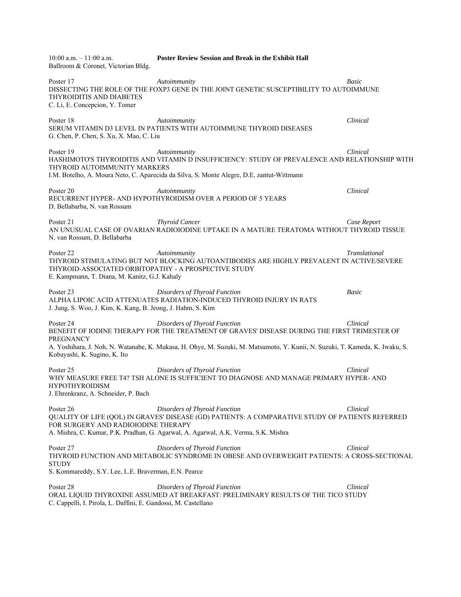10:00 a.m. – 11:00 a.m. **Poster Review Session and Break in the Exhibit Hall**  Ballroom & Coronet, Victorian Bldg. Poster 17 *Autoimmunity Basic*  DISSECTING THE ROLE OF THE FOXP3 GENE IN THE JOINT GENETIC SUSCEPTIBILITY TO AUTOIMMUNE THYROIDITIS AND DIABETES C. Li, E. Concepcion, Y. Tomer Poster 18 *Autoimmunity Clinical*  SERUM VITAMIN D3 LEVEL IN PATIENTS WITH AUTOIMMUNE THYROID DISEASES G. Chen, P. Chen, S. Xu, X. Mao, C. Liu Poster 19 *Autoimmunity Clinical*  HASHIMOTO'S THYROIDITIS AND VITAMIN D INSUFFICIENCY: STUDY OF PREVALENCE AND RELATIONSHIP WITH THYROID AUTOIMMUNITY MARKERS I.M. Botelho, A. Moura Neto, C. Aparecida da Silva, S. Monte Alegre, D.E. zantut-Wittmann Poster 20 *Autoimmunity Clinical*  RECURRENT HYPER- AND HYPOTHYROIDISM OVER A PERIOD OF 5 YEARS D. Bellabarba, N. van Rossum Poster 21 *Thyroid Cancer Case Report*  AN UNUSUAL CASE OF OVARIAN RADIOIODINE UPTAKE IN A MATURE TERATOMA WITHOUT THYROID TISSUE N. van Rossum, D. Bellabarba Poster 22 *Autoimmunity Translational*  THYROID STIMULATING BUT NOT BLOCKING AUTOANTIBODIES ARE HIGHLY PREVALENT IN ACTIVE/SEVERE THYROID-ASSOCIATED ORBITOPATHY - A PROSPECTIVE STUDY E. Kampmann, T. Diana, M. Kanitz, G.J. Kahaly Poster 23 *Disorders of Thyroid Function Basic*  ALPHA LIPOIC ACID ATTENUATES RADIATION-INDUCED THYROID INJURY IN RATS J. Jung, S. Woo, J. Kim, K. Kang, B. Jeong, J. Hahm, S. Kim Poster 24 *Disorders of Thyroid Function Clinical*  BENEFIT OF IODINE THERAPY FOR THE TREATMENT OF GRAVES' DISEASE DURING THE FIRST TRIMESTER OF PREGNANCY A. Yoshihara, J. Noh, N. Watanabe, K. Mukasa, H. Ohye, M. Suzuki, M. Matsumoto, Y. Kunii, N. Suzuki, T. Kameda, K. Iwaku, S. Kobayashi, K. Sugino, K. Ito Poster 25 *Disorders of Thyroid Function Clinical*  WHY MEASURE FREE T4? TSH ALONE IS SUFFICIENT TO DIAGNOSE AND MANAGE PRIMARY HYPER- AND HYPOTHYROIDISM J. Ehrenkranz, A. Schneider, P. Bach Poster 26 *Disorders of Thyroid Function Clinical*  QUALITY OF LIFE (QOL) IN GRAVES' DISEASE (GD) PATIENTS: A COMPARATIVE STUDY OF PATIENTS REFERRED FOR SURGERY AND RADIOIODINE THERAPY A. Mishra, C. Kumar, P.K. Pradhan, G. Agarwal, A. Agarwal, A.K. Verma, S.K. Mishra Poster 27 *Disorders of Thyroid Function Clinical*  THYROID FUNCTION AND METABOLIC SYNDROME IN OBESE AND OVERWEIGHT PATIENTS: A CROSS-SECTIONAL **STUDY** S. Kommareddy, S.Y. Lee, L.E. Braverman, E.N. Pearce Poster 28 *Disorders of Thyroid Function Clinical*  ORAL LIQUID THYROXINE ASSUMED AT BREAKFAST: PRELIMINARY RESULTS OF THE TICO STUDY C. Cappelli, I. Pirola, L. Daffini, E. Gandossi, M. Castellano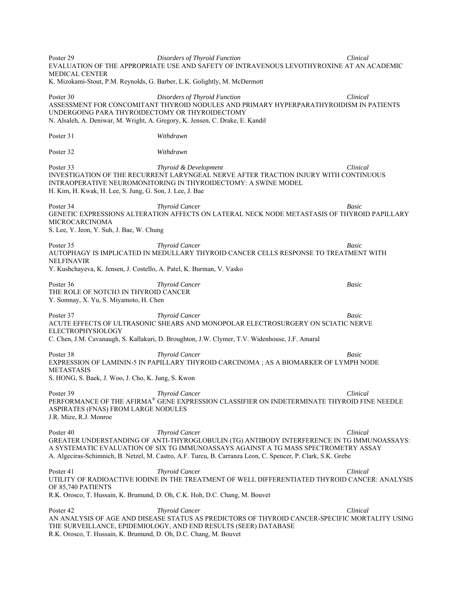Poster 29 *Disorders of Thyroid Function Clinical*  EVALUATION OF THE APPROPRIATE USE AND SAFETY OF INTRAVENOUS LEVOTHYROXINE AT AN ACADEMIC MEDICAL CENTER K. Mizokami-Stout, P.M. Reynolds, G. Barber, L.K. Golightly, M. McDermott Poster 30 *Disorders of Thyroid Function Clinical*  ASSESSMENT FOR CONCOMITANT THYROID NODULES AND PRIMARY HYPERPARATHYROIDISM IN PATIENTS UNDERGOING PARA THYROIDECTOMY OR THYROIDECTOMY N. Alsaleh, A. Deniwar, M. Wright, A. Gregory, K. Jensen, C. Drake, E. Kandil Poster 31 *Withdrawn* Poster 32 *Withdrawn* Poster 33 *Thyroid & Development Clinical*  INVESTIGATION OF THE RECURRENT LARYNGEAL NERVE AFTER TRACTION INJURY WITH CONTINUOUS INTRAOPERATIVE NEUROMONITORING IN THYROIDECTOMY: A SWINE MODEL H. Kim, H. Kwak, H. Lee, S. Jung, G. Son, J. Lee, J. Bae **Poster 34** *Poster 34 Poster 34 Basic* GENETIC EXPRESSIONS ALTERATION AFFECTS ON LATERAL NECK NODE METASTASIS OF THYROID PAPILLARY MICROCARCINOMA S. Lee, Y. Jeon, Y. Suh, J. Bae, W. Chung **Poster 35 Thyroid Cancer Basic Basic Basic** AUTOPHAGY IS IMPLICATED IN MEDULLARY THYROID CANCER CELLS RESPONSE TO TREATMENT WITH NELFINAVIR Y. Kushchayeva, K. Jensen, J. Costello, A. Patel, K. Burman, V. Vasko Poster 36 *Thyroid Cancer Basic*  THE ROLE OF NOTCH3 IN THYROID CANCER Y. Somnay, X. Yu, S. Miyamoto, H. Chen Poster 37 *Thyroid Cancer Basic*  ACUTE EFFECTS OF ULTRASONIC SHEARS AND MONOPOLAR ELECTROSURGERY ON SCIATIC NERVE ELECTROPHYSIOLOGY C. Chen, J.M. Cavanaugh, S. Kallakuri, D. Broughton, J.W. Clymer, T.V. Widenhouse, J.F. Amaral Poster 38 *Thyroid Cancer* **Basic** *Basic Basic Basic Basic Basic Basic Basic Basic Basic Basic Basic Basic Basic Basic Basic Basic Basic Basic Basic Basic Basic Basic Basic* EXPRESSION OF LAMININ-5 IN PAPILLARY THYROID CARCINOMA ; AS A BIOMARKER OF LYMPH NODE METASTASIS S. HONG, S. Baek, J. Woo, J. Cho, K. Jung, S. Kwon Poster 39 *Thyroid Cancer* **Clinical**  *Thyroid Cancer* **Clinical** *Clinical*PERFORMANCE OF THE AFIRMA® GENE EXPRESSION CLASSIFIER ON INDETERMINATE THYROID FINE NEEDLE ASPIRATES (FNAS) FROM LARGE NODULES J.R. Mize, R.J. Monroe Poster 40 *Thyroid Cancer* **Clinical**  *Thyroid Cancer* **Clinical** *Clinical Clinical Clinical Clinical Clinical Clinical Clinical Clinical Clinical Clinical Clinical Clinical Clinical Clinical* GREATER UNDERSTANDING OF ANTI-THYROGLOBULIN (TG) ANTIBODY INTERFERENCE IN TG IMMUNOASSAYS: A SYSTEMATIC EVALUATION OF SIX TG IMMUNOASSAYS AGAINST A TG MASS SPECTROMETRY ASSAY A. Algeciras-Schimnich, B. Netzel, M. Castro, A.F. Turcu, B. Carranza Leon, C. Spencer, P. Clark, S.K. Grebe Poster 41 *Thyroid Cancer Clinical*  UTILITY OF RADIOACTIVE IODINE IN THE TREATMENT OF WELL DIFFERENTIATED THYROID CANCER: ANALYSIS OF 85,740 PATIENTS R.K. Orosco, T. Hussain, K. Brumund, D. Oh, C.K. Hoh, D.C. Chang, M. Bouvet Poster 42 *Thyroid Cancer* **Clinical**  *Thyroid Cancer* **Clinical** *Clinical*AN ANALYSIS OF AGE AND DISEASE STATUS AS PREDICTORS OF THYROID CANCER-SPECIFIC MORTALITY USING THE SURVEILLANCE, EPIDEMIOLOGY, AND END RESULTS (SEER) DATABASE R.K. Orosco, T. Hussain, K. Brumund, D. Oh, D.C. Chang, M. Bouvet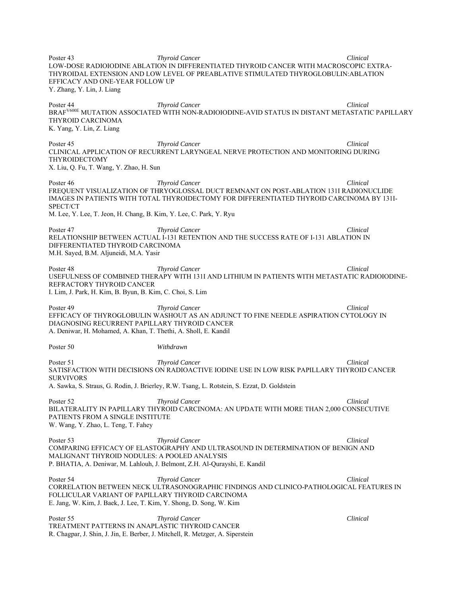Poster 43 *Thyroid Cancer* **Clinical**  *Thyroid Cancer* **Clinical** *Clinical Clinical Clinical Clinical Clinical Clinical Clinical Clinical Clinical Clinical Clinical Clinical Clinical Clinical* LOW-DOSE RADIOIODINE ABLATION IN DIFFERENTIATED THYROID CANCER WITH MACROSCOPIC EXTRA-THYROIDAL EXTENSION AND LOW LEVEL OF PREABLATIVE STIMULATED THYROGLOBULIN:ABLATION EFFICACY AND ONE-YEAR FOLLOW UP Y. Zhang, Y. Lin, J. Liang Poster 44 *Thyroid Cancer Clinical*  BRAFV600E MUTATION ASSOCIATED WITH NON-RADIOIODINE-AVID STATUS IN DISTANT METASTATIC PAPILLARY THYROID CARCINOMA K. Yang, Y. Lin, Z. Liang Poster 45 *Thyroid Cancer* **Clinical**  *Thyroid Cancer* **Clinical** *Clinical*CLINICAL APPLICATION OF RECURRENT LARYNGEAL NERVE PROTECTION AND MONITORING DURING THYROIDECTOMY X. Liu, Q. Fu, T. Wang, Y. Zhao, H. Sun Poster 46 *Thyroid Cancer* **Clinical**  *Thyroid Cancer* **Clinical** *Clinical*FREQUENT VISUALIZATION OF THRYOGLOSSAL DUCT REMNANT ON POST-ABLATION 131I RADIONUCLIDE IMAGES IN PATIENTS WITH TOTAL THYROIDECTOMY FOR DIFFERENTIATED THYROID CARCINOMA BY 131I-SPECT/CT M. Lee, Y. Lee, T. Jeon, H. Chang, B. Kim, Y. Lee, C. Park, Y. Ryu Poster 47 *Thyroid Cancer Clinical*  RELATIONSHIP BETWEEN ACTUAL I-131 RETENTION AND THE SUCCESS RATE OF I-131 ABLATION IN DIFFERENTIATED THYROID CARCINOMA M.H. Sayed, B.M. Aljuneidi, M.A. Yasir Poster 48 *Thyroid Cancer Clinical*  USEFULNESS OF COMBINED THERAPY WITH 131I AND LITHIUM IN PATIENTS WITH METASTATIC RADIOIODINE-REFRACTORY THYROID CANCER I. Lim, J. Park, H. Kim, B. Byun, B. Kim, C. Choi, S. Lim Poster 49 *Thyroid Cancer Clinical*  EFFICACY OF THYROGLOBULIN WASHOUT AS AN ADJUNCT TO FINE NEEDLE ASPIRATION CYTOLOGY IN DIAGNOSING RECURRENT PAPILLARY THYROID CANCER A. Deniwar, H. Mohamed, A. Khan, T. Thethi, A. Sholl, E. Kandil Poster 50 *Withdrawn* Poster 51 *Thyroid Cancer* **Clinical**  *Thyroid Cancer* **Clinical** *Clinical Clinical Clinical Clinical Clinical Clinical Clinical Clinical Clinical Clinical Clinical Clinical Clinical Clinical* SATISFACTION WITH DECISIONS ON RADIOACTIVE IODINE USE IN LOW RISK PAPILLARY THYROID CANCER SURVIVORS A. Sawka, S. Straus, G. Rodin, J. Brierley, R.W. Tsang, L. Rotstein, S. Ezzat, D. Goldstein Poster 52 *Thyroid Cancer Clinical*  BILATERALITY IN PAPILLARY THYROID CARCINOMA: AN UPDATE WITH MORE THAN 2,000 CONSECUTIVE PATIENTS FROM A SINGLE INSTITUTE W. Wang, Y. Zhao, L. Teng, T. Fahey Poster 53 *Thyroid Cancer Clinical*  COMPARING EFFICACY OF ELASTOGRAPHY AND ULTRASOUND IN DETERMINATION OF BENIGN AND MALIGNANT THYROID NODULES: A POOLED ANALYSIS P. BHATIA, A. Deniwar, M. Lahlouh, J. Belmont, Z.H. Al-Qurayshi, E. Kandil Poster 54 *Thyroid Cancer Clinical*  CORRELATION BETWEEN NECK ULTRASONOGRAPHIC FINDINGS AND CLINICO-PATHOLOGICAL FEATURES IN FOLLICULAR VARIANT OF PAPILLARY THYROID CARCINOMA E. Jang, W. Kim, J. Baek, J. Lee, T. Kim, Y. Shong, D. Song, W. Kim Poster 55 *Thyroid Cancer* **Clinical** *Poster 55 Clinical Clinical Poster 1999 Clinical Clinical Clinical Clinical Clinical Clinical Clinical Clinical Clinical Clinical Clinical Clinical Cli* TREATMENT PATTERNS IN ANAPLASTIC THYROID CANCER R. Chagpar, J. Shin, J. Jin, E. Berber, J. Mitchell, R. Metzger, A. Siperstein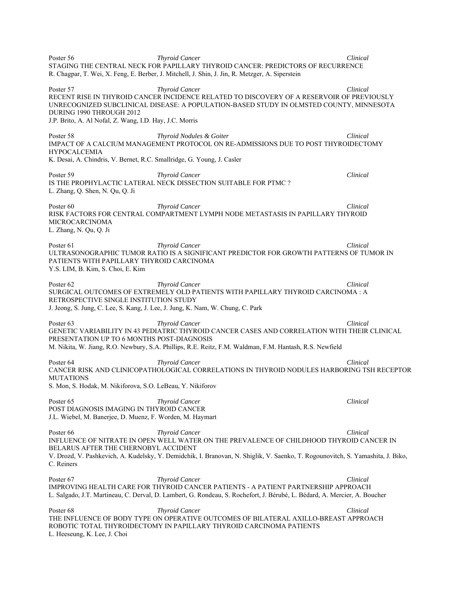Poster 56 *Thyroid Cancer* **Clinical**  *Thyroid Cancer* **Clinical** *Clinical Clinical Clinical Clinical Clinical Clinical Clinical Clinical Clinical Clinical Clinical Clinical Clinical Clinical* STAGING THE CENTRAL NECK FOR PAPILLARY THYROID CANCER: PREDICTORS OF RECURRENCE R. Chagpar, T. Wei, X. Feng, E. Berber, J. Mitchell, J. Shin, J. Jin, R. Metzger, A. Siperstein Poster 57 *Thyroid Cancer* **Clinical**  *Clinical*RECENT RISE IN THYROID CANCER INCIDENCE RELATED TO DISCOVERY OF A RESERVOIR OF PREVIOUSLY UNRECOGNIZED SUBCLINICAL DISEASE: A POPULATION-BASED STUDY IN OLMSTED COUNTY, MINNESOTA DURING 1990 THROUGH 2012 J.P. Brito, A. Al Nofal, Z. Wang, I.D. Hay, J.C. Morris Poster 58 *Thyroid Nodules & Goiter Clinical*  IMPACT OF A CALCIUM MANAGEMENT PROTOCOL ON RE-ADMISSIONS DUE TO POST THYROIDECTOMY HYPOCALCEMIA K. Desai, A. Chindris, V. Bernet, R.C. Smallridge, G. Young, J. Casler Poster 59 *Thyroid Cancer Clinical*  IS THE PROPHYLACTIC LATERAL NECK DISSECTION SUITABLE FOR PTMC ? L. Zhang, Q. Shen, N. Qu, Q. Ji Poster 60 *Thyroid Cancer Clinical*  RISK FACTORS FOR CENTRAL COMPARTMENT LYMPH NODE METASTASIS IN PAPILLARY THYROID MICROCARCINOMA L. Zhang, N. Qu, Q. Ji Poster 61 *Thyroid Cancer* **Clinical**  *Clinical Clinical* ULTRASONOGRAPHIC TUMOR RATIO IS A SIGNIFICANT PREDICTOR FOR GROWTH PATTERNS OF TUMOR IN PATIENTS WITH PAPILLARY THYROID CARCINOMA Y.S. LIM, B. Kim, S. Choi, E. Kim Poster 62 *Thyroid Cancer Clinical*  SURGICAL OUTCOMES OF EXTREMELY OLD PATIENTS WITH PAPILLARY THYROID CARCINOMA : A RETROSPECTIVE SINGLE INSTITUTION STUDY J. Jeong, S. Jung, C. Lee, S. Kang, J. Lee, J. Jung, K. Nam, W. Chung, C. Park Poster 63 **Thyroid Cancer Clinical**  *Thyroid Cancer Clinical**Clinical**Clinical**Clinical**Clinical**Clinical**Clinical**Clinical**Clinical**Clinical**Clinical**Clinical**Clinical**Clinical**Clinical* GENETIC VARIABILITY IN 43 PEDIATRIC THYROID CANCER CASES AND CORRELATION WITH THEIR CLINICAL PRESENTATION UP TO 6 MONTHS POST-DIAGNOSIS M. Nikita, W. Jiang, R.O. Newbury, S.A. Phillips, R.E. Reitz, F.M. Waldman, F.M. Hantash, R.S. Newfield Poster 64 *Thyroid Cancer* **Clinical**  *Thyroid Cancer* **Clinical** *Clinical*CANCER RISK AND CLINICOPATHOLOGICAL CORRELATIONS IN THYROID NODULES HARBORING TSH RECEPTOR MUTATIONS S. Mon, S. Hodak, M. Nikiforova, S.O. LeBeau, Y. Nikiforov Poster 65 *Thyroid Cancer Clinical*  POST DIAGNOSIS IMAGING IN THYROID CANCER J.L. Wiebel, M. Banerjee, D. Muenz, F. Worden, M. Haymart Poster 66 **Thyroid Cancer The Clinical**  *Thyroid Cancer* **Clinical** *Clinical Clinical Clinical Clinical Clinical Clinical Clinical Clinical Clinical Clinical Clinical Clinical Clinical Clinica* INFLUENCE OF NITRATE IN OPEN WELL WATER ON THE PREVALENCE OF CHILDHOOD THYROID CANCER IN BELARUS AFTER THE CHERNOBYL ACCIDENT V. Drozd, V. Pashkevich, A. Kudelsky, Y. Demidchik, I. Branovan, N. Shiglik, V. Saenko, T. Rogounovitch, S. Yamashita, J. Biko, C. Reiners Poster 67 *Thyroid Cancer Clinical*  IMPROVING HEALTH CARE FOR THYROID CANCER PATIENTS - A PATIENT PARTNERSHIP APPROACH L. Salgado, J.T. Martineau, C. Derval, D. Lambert, G. Rondeau, S. Rochefort, J. Bérubé, L. Bédard, A. Mercier, A. Boucher Poster 68 *Thyroid Cancer Clinical*  THE INFLUENCE OF BODY TYPE ON OPERATIVE OUTCOMES OF BILATERAL AXILLO-BREAST APPROACH ROBOTIC TOTAL THYROIDECTOMY IN PAPILLARY THYROID CARCINOMA PATIENTS L. Heeseung, K. Lee, J. Choi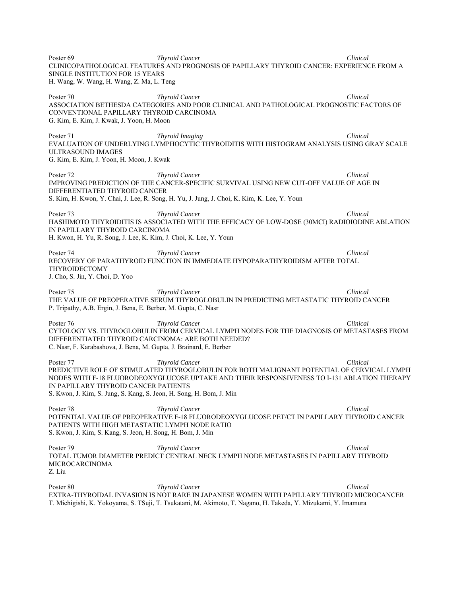Poster 69 *Thyroid Cancer* **Clinical**  *Thyroid Cancer* **Clinical** *Clinical*CLINICOPATHOLOGICAL FEATURES AND PROGNOSIS OF PAPILLARY THYROID CANCER: EXPERIENCE FROM A SINGLE INSTITUTION FOR 15 YEARS H. Wang, W. Wang, H. Wang, Z. Ma, L. Teng Poster 70 *Thyroid Cancer* **Clinical**  *Thyroid Cancer* **Clinical** *Clinical*ASSOCIATION BETHESDA CATEGORIES AND POOR CLINICAL AND PATHOLOGICAL PROGNOSTIC FACTORS OF CONVENTIONAL PAPILLARY THYROID CARCINOMA G. Kim, E. Kim, J. Kwak, J. Yoon, H. Moon Poster 71 *Thyroid Imaging* Clinical **Clinical Clinical** EVALUATION OF UNDERLYING LYMPHOCYTIC THYROIDITIS WITH HISTOGRAM ANALYSIS USING GRAY SCALE ULTRASOUND IMAGES G. Kim, E. Kim, J. Yoon, H. Moon, J. Kwak Poster 72 *Thyroid Cancer Clinical*  IMPROVING PREDICTION OF THE CANCER-SPECIFIC SURVIVAL USING NEW CUT-OFF VALUE OF AGE IN DIFFERENTIATED THYROID CANCER S. Kim, H. Kwon, Y. Chai, J. Lee, R. Song, H. Yu, J. Jung, J. Choi, K. Kim, K. Lee, Y. Youn Poster 73 *Thyroid Cancer Clinical Clinical Clinical Clinical Clinical Clinical Clinical Clinical Clinical Clinical Clinical Clinical Clinical Clinical Clinical Clinical Clinical Clinica* HASHIMOTO THYROIDITIS IS ASSOCIATED WITH THE EFFICACY OF LOW-DOSE (30MCI) RADIOIODINE ABLATION IN PAPILLARY THYROID CARCINOMA H. Kwon, H. Yu, R. Song, J. Lee, K. Kim, J. Choi, K. Lee, Y. Youn Poster 74 *Thyroid Cancer Clinical*  RECOVERY OF PARATHYROID FUNCTION IN IMMEDIATE HYPOPARATHYROIDISM AFTER TOTAL THYROIDECTOMY J. Cho, S. Jin, Y. Choi, D. Yoo Poster 75 *Thyroid Cancer The Clinical Clinical Clinical Clinical Clinical Clinical Clinical Clinical Clinical Clinical Clinical Clinical Clinical Clinical Clinical Clinical Clinical Cli* THE VALUE OF PREOPERATIVE SERUM THYROGLOBULIN IN PREDICTING METASTATIC THYROID CANCER P. Tripathy, A.B. Ergin, J. Bena, E. Berber, M. Gupta, C. Nasr Poster 76 *Thyroid Cancer Clinical*  CYTOLOGY VS. THYROGLOBULIN FROM CERVICAL LYMPH NODES FOR THE DIAGNOSIS OF METASTASES FROM DIFFERENTIATED THYROID CARCINOMA: ARE BOTH NEEDED? C. Nasr, F. Karabashova, J. Bena, M. Gupta, J. Brainard, E. Berber Poster 77 *Thyroid Cancer Clinical*  PREDICTIVE ROLE OF STIMULATED THYROGLOBULIN FOR BOTH MALIGNANT POTENTIAL OF CERVICAL LYMPH NODES WITH F-18 FLUORODEOXYGLUCOSE UPTAKE AND THEIR RESPONSIVENESS TO I-131 ABLATION THERAPY IN PAPILLARY THYROID CANCER PATIENTS S. Kwon, J. Kim, S. Jung, S. Kang, S. Jeon, H. Song, H. Bom, J. Min Poster 78 *Thyroid Cancer* **Clinical**  *Clinical*POTENTIAL VALUE OF PREOPERATIVE F-18 FLUORODEOXYGLUCOSE PET/CT IN PAPILLARY THYROID CANCER PATIENTS WITH HIGH METASTATIC LYMPH NODE RATIO S. Kwon, J. Kim, S. Kang, S. Jeon, H. Song, H. Bom, J. Min Poster 79 *Thyroid Cancer* **Clinical**  *Thyroid Cancer* **Clinical** *Clinical*TOTAL TUMOR DIAMETER PREDICT CENTRAL NECK LYMPH NODE METASTASES IN PAPILLARY THYROID MICROCARCINOMA Z. Liu Poster 80 *Thyroid Cancer* **Clinical**  *Thyroid Cancer* **Clinical** *Clinical*EXTRA-THYROIDAL INVASION IS NOT RARE IN JAPANESE WOMEN WITH PAPILLARY THYROID MICROCANCER

T. Michigishi, K. Yokoyama, S. TSuji, T. Tsukatani, M. Akimoto, T. Nagano, H. Takeda, Y. Mizukami, Y. Imamura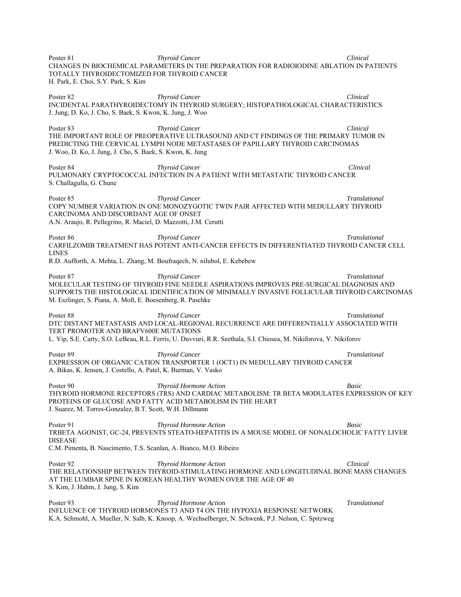Poster 81 *Thyroid Cancer Clinical*  CHANGES IN BIOCHEMICAL PARAMETERS IN THE PREPARATION FOR RADIOIODINE ABLATION IN PATIENTS TOTALLY THYROIDECTOMIZED FOR THYROID CANCER H. Park, E. Choi, S.Y. Park, S. Kim Poster 82 *Thyroid Cancer* **Clinical**  *Thyroid Cancer* **Clinical** *Clinical*INCIDENTAL PARATHYROIDECTOMY IN THYROID SURGERY; HISTOPATHOLOGICAL CHARACTERISTICS J. Jung, D. Ko, J. Cho, S. Baek, S. Kwon, K. Jung, J. Woo Poster 83 *Thyroid Cancer* **Clinical**  *Thyroid Cancer* **Clinical** *Clinical*THE IMPORTANT ROLE OF PREOPERATIVE ULTRASOUND AND CT FINDINGS OF THE PRIMARY TUMOR IN PREDICTING THE CERVICAL LYMPH NODE METASTASES OF PAPILLARY THYROID CARCINOMAS J. Woo, D. Ko, J. Jung, J. Cho, S. Baek, S. Kwon, K. Jung Poster 84 *Thyroid Cancer Clinical*  PULMONARY CRYPTOCOCCAL INFECTION IN A PATIENT WITH METASTATIC THYROID CANCER S. Challagulla, G. Chune Poster 85 *Thyroid Cancer Translational*  COPY NUMBER VARIATION IN ONE MONOZYGOTIC TWIN PAIR AFFECTED WITH MEDULLARY THYROID CARCINOMA AND DISCORDANT AGE OF ONSET A.N. Araujo, R. Pellegrino, R. Maciel, D. Mazzotti, J.M. Cerutti Poster 86 **Thyroid Cancer** Translational **Translational Translational Translational** CARFILZOMIB TREATMENT HAS POTENT ANTI-CANCER EFFECTS IN DIFFERENTIATED THYROID CANCER CELL LINES R.D. Aufforth, A. Mehta, L. Zhang, M. Boufraqech, N. nilubol, E. Kebebew Poster 87 **Thyroid Cancer The Second Line Second Translational** *Translational**Translational**Translational**Analyzing Cancer* **<b>Translational Translational** MOLECULAR TESTING OF THYROID FINE NEEDLE ASPIRATIONS IMPROVES PRE-SURGICAL DIAGNOSIS AND SUPPORTS THE HISTOLOGICAL IDENTIFICATION OF MINIMALLY INVASIVE FOLLICULAR THYROID CARCINOMAS M. Eszlinger, S. Piana, A. Moll, E. Boesenberg, R. Paschke Poster 88 *Thyroid Cancer Translational*  DTC DISTANT METASTASIS AND LOCAL-REGIONAL RECURRENCE ARE DIFFERENTIALLY ASSOCIATED WITH TERT PROMOTER AND BRAFV600E MUTATIONS L. Yip, S.E. Carty, S.O. LeBeau, R.L. Ferris, U. Duvvuri, R.R. Seethala, S.I. Chiosea, M. Nikiforova, Y. Nikiforov Poster 89 *Thyroid Cancer Translational*  EXPRESSION OF ORGANIC CATION TRANSPORTER 1 (OCT1) IN MEDULLARY THYROID CANCER A. Bikas, K. Jensen, J. Costello, A. Patel, K. Burman, V. Vasko Poster 90 *Thyroid Hormone Action Basic*  THYROID HORMONE RECEPTORS (TRS) AND CARDIAC METABOLISM: TR BETA MODULATES EXPRESSION OF KEY PROTEINS OF GLUCOSE AND FATTY ACID METABOLISM IN THE HEART J. Suarez, M. Torres-Gonzalez, B.T. Scott, W.H. Dillmann Poster 91 *Thyroid Hormone Action Basic*  TRBETA AGONIST, GC-24, PREVENTS STEATO-HEPATITIS IN A MOUSE MODEL OF NONALOCHOLIC FATTY LIVER DISEASE C.M. Pimenta, B. Nascimento, T.S. Scanlan, A. Bianco, M.O. Ribeiro Poster 92 *Thyroid Hormone Action Clinical*  THE RELATIONSHIP BETWEEN THYROID-STIMULATING HORMONE AND LONGITUDINAL BONE MASS CHANGES AT THE LUMBAR SPINE IN KOREAN HEALTHY WOMEN OVER THE AGE OF 40 S. Kim, J. Hahm, J. Jung, S. Kim Poster 93 *Thyroid Hormone Action Translational*  INFLUENCE OF THYROID HORMONES T3 AND T4 ON THE HYPOXIA RESPONSE NETWORK

K.A. Schmohl, A. Mueller, N. Salb, K. Knoop, A. Wechselberger, N. Schwenk, P.J. Nelson, C. Spitzweg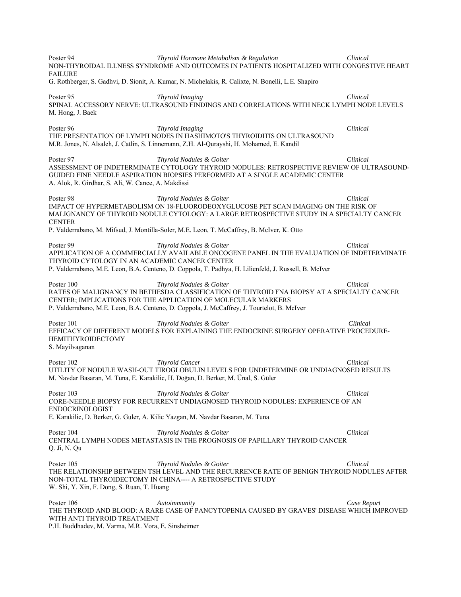Poster 94 *Thyroid Hormone Metabolism & Regulation Clinical*  NON-THYROIDAL ILLNESS SYNDROME AND OUTCOMES IN PATIENTS HOSPITALIZED WITH CONGESTIVE HEART **FAILURE** G. Rothberger, S. Gadhvi, D. Sionit, A. Kumar, N. Michelakis, R. Calixte, N. Bonelli, L.E. Shapiro Poster 95 *Thyroid Imaging* **Clinical**  *Clinical* **Clinical** SPINAL ACCESSORY NERVE: ULTRASOUND FINDINGS AND CORRELATIONS WITH NECK LYMPH NODE LEVELS M. Hong, J. Baek Poster 96 *Thyroid Imaging* **Clinical**  *Thyroid Imaging* **Clinical** *Clinical*THE PRESENTATION OF LYMPH NODES IN HASHIMOTO'S THYROIDITIS ON ULTRASOUND M.R. Jones, N. Alsaleh, J. Catlin, S. Linnemann, Z.H. Al-Qurayshi, H. Mohamed, E. Kandil Poster 97 *Thyroid Nodules & Goiter Clinical*  ASSESSMENT OF INDETERMINATE CYTOLOGY THYROID NODULES: RETROSPECTIVE REVIEW OF ULTRASOUND-GUIDED FINE NEEDLE ASPIRATION BIOPSIES PERFORMED AT A SINGLE ACADEMIC CENTER A. Alok, R. Girdhar, S. Ali, W. Cance, A. Makdissi Poster 98 *Thyroid Nodules & Goiter Clinical*  IMPACT OF HYPERMETABOLISM ON 18-FLUORODEOXYGLUCOSE PET SCAN IMAGING ON THE RISK OF MALIGNANCY OF THYROID NODULE CYTOLOGY: A LARGE RETROSPECTIVE STUDY IN A SPECIALTY CANCER **CENTER** P. Valderrabano, M. Mifsud, J. Montilla-Soler, M.E. Leon, T. McCaffrey, B. McIver, K. Otto Poster 99 *Thyroid Nodules & Goiter Clinical*  APPLICATION OF A COMMERCIALLY AVAILABLE ONCOGENE PANEL IN THE EVALUATION OF INDETERMINATE THYROID CYTOLOGY IN AN ACADEMIC CANCER CENTER P. Valderrabano, M.E. Leon, B.A. Centeno, D. Coppola, T. Padhya, H. Lilienfeld, J. Russell, B. McIver Poster 100 *Thyroid Nodules & Goiter Clinical*  RATES OF MALIGNANCY IN BETHESDA CLASSIFICATION OF THYROID FNA BIOPSY AT A SPECIALTY CANCER CENTER; IMPLICATIONS FOR THE APPLICATION OF MOLECULAR MARKERS P. Valderrabano, M.E. Leon, B.A. Centeno, D. Coppola, J. McCaffrey, J. Tourtelot, B. McIver Poster 101 *Thyroid Nodules & Goiter Clinical*  EFFICACY OF DIFFERENT MODELS FOR EXPLAINING THE ENDOCRINE SURGERY OPERATIVE PROCEDURE-HEMITHYROIDECTOMY S. Mayilvaganan Poster 102 *Thyroid Cancer Clinical*  UTILITY OF NODULE WASH-OUT TIROGLOBULIN LEVELS FOR UNDETERMINE OR UNDIAGNOSED RESULTS M. Navdar Basaran, M. Tuna, E. Karakilic, H. Doğan, D. Berker, M. Ünal, S. Güler Poster 103 *Thyroid Nodules & Goiter Clinical*  CORE-NEEDLE BIOPSY FOR RECURRENT UNDIAGNOSED THYROID NODULES: EXPERIENCE OF AN ENDOCRINOLOGIST E. Karakilic, D. Berker, G. Guler, A. Kilic Yazgan, M. Navdar Basaran, M. Tuna Poster 104 *Thyroid Nodules & Goiter Clinical*  CENTRAL LYMPH NODES METASTASIS IN THE PROGNOSIS OF PAPILLARY THYROID CANCER Q. Ji, N. Qu Poster 105 *Thyroid Nodules & Goiter Clinical*  THE RELATIONSHIP BETWEEN TSH LEVEL AND THE RECURRENCE RATE OF BENIGN THYROID NODULES AFTER NON-TOTAL THYROIDECTOMY IN CHINA---- A RETROSPECTIVE STUDY W. Shi, Y. Xin, F. Dong, S. Ruan, T. Huang Poster 106 *Autoimmunity Case Report*  THE THYROID AND BLOOD: A RARE CASE OF PANCYTOPENIA CAUSED BY GRAVES' DISEASE WHICH IMPROVED WITH ANTI THYROID TREATMENT

P.H. Buddhadev, M. Varma, M.R. Vora, E. Sinsheimer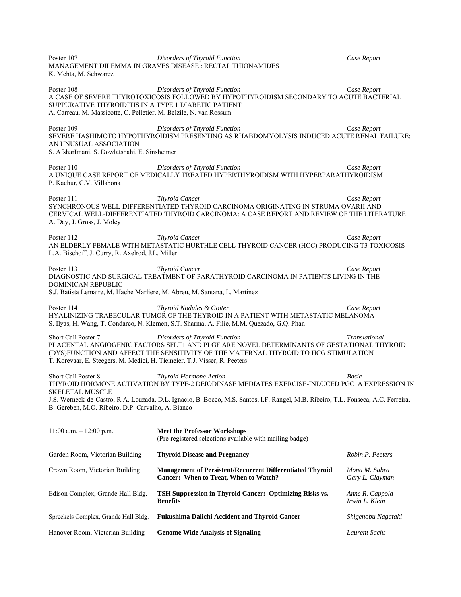Poster 107 *Disorders of Thyroid Function Case Report*  MANAGEMENT DILEMMA IN GRAVES DISEASE : RECTAL THIONAMIDES K. Mehta, M. Schwarcz Poster 108 *Disorders of Thyroid Function Case Report*  A CASE OF SEVERE THYROTOXICOSIS FOLLOWED BY HYPOTHYROIDISM SECONDARY TO ACUTE BACTERIAL SUPPURATIVE THYROIDITIS IN A TYPE 1 DIABETIC PATIENT A. Carreau, M. Massicotte, C. Pelletier, M. Belzile, N. van Rossum Poster 109 *Disorders of Thyroid Function Case Report*  SEVERE HASHIMOTO HYPOTHYROIDISM PRESENTING AS RHABDOMYOLYSIS INDUCED ACUTE RENAL FAILURE: AN UNUSUAL ASSOCIATION S. AfsharImani, S. Dowlatshahi, E. Sinsheimer Poster 110 *Disorders of Thyroid Function Case Report*  A UNIQUE CASE REPORT OF MEDICALLY TREATED HYPERTHYROIDISM WITH HYPERPARATHYROIDISM P. Kachur, C.V. Villabona Poster 111 *Thyroid Cancer Case Report*  SYNCHRONOUS WELL-DIFFERENTIATED THYROID CARCINOMA ORIGINATING IN STRUMA OVARII AND CERVICAL WELL-DIFFERENTIATED THYROID CARCINOMA: A CASE REPORT AND REVIEW OF THE LITERATURE A. Day, J. Gross, J. Moley Poster 112 *Thyroid Cancer Case Report*  AN ELDERLY FEMALE WITH METASTATIC HURTHLE CELL THYROID CANCER (HCC) PRODUCING T3 TOXICOSIS L.A. Bischoff, J. Curry, R. Axelrod, J.L. Miller Poster 113 *Thyroid Cancer Case Report*  DIAGNOSTIC AND SURGICAL TREATMENT OF PARATHYROID CARCINOMA IN PATIENTS LIVING IN THE DOMINICAN REPUBLIC S.J. Batista Lemaire, M. Hache Marliere, M. Abreu, M. Santana, L. Martinez Poster 114 *Thyroid Nodules & Goiter Case Report*  HYALINIZING TRABECULAR TUMOR OF THE THYROID IN A PATIENT WITH METASTATIC MELANOMA S. Ilyas, H. Wang, T. Condarco, N. Klemen, S.T. Sharma, A. Filie, M.M. Quezado, G.Q. Phan Short Call Poster 7 *Disorders of Thyroid Function Translational*  PLACENTAL ANGIOGENIC FACTORS SFLT1 AND PLGF ARE NOVEL DETERMINANTS OF GESTATIONAL THYROID (DYS)FUNCTION AND AFFECT THE SENSITIVITY OF THE MATERNAL THYROID TO HCG STIMULATION T. Korevaar, E. Steegers, M. Medici, H. Tiemeier, T.J. Visser, R. Peeters Short Call Poster 8 *Thyroid Hormone Action Basic*  THYROID HORMONE ACTIVATION BY TYPE-2 DEIODINASE MEDIATES EXERCISE-INDUCED PGC1A EXPRESSION IN SKELETAL MUSCLE J.S. Werneck-de-Castro, R.A. Louzada, D.L. Ignacio, B. Bocco, M.S. Santos, I.F. Rangel, M.B. Ribeiro, T.L. Fonseca, A.C. Ferreira, B. Gereben, M.O. Ribeiro, D.P. Carvalho, A. Bianco 11:00 a.m. – 12:00 p.m. **Meet the Professor Workshops** (Pre-registered selections available with mailing badge) Garden Room, Victorian Building **Thyroid Disease and Pregnancy** *Robin P. Peeters* Crown Room, Victorian Building **Management of Persistent/Recurrent Differentiated Thyroid** *Mona M. Sabra* **Cancer: When to Treat, When to Watch?** *Gary L. Clayman* Edison Complex, Grande Hall Bldg. **TSH Suppression in Thyroid Cancer: Optimizing Risks vs.** *Anne R. Cappola* **Benefits** *Irwin L. Klein*  Spreckels Complex, Grande Hall Bldg. **Fukushima Daiichi Accident and Thyroid Cancer** *Shigenobu Nagataki*

Hanover Room, Victorian Building **Genome Wide Analysis of Signaling** *Laurent Sachs*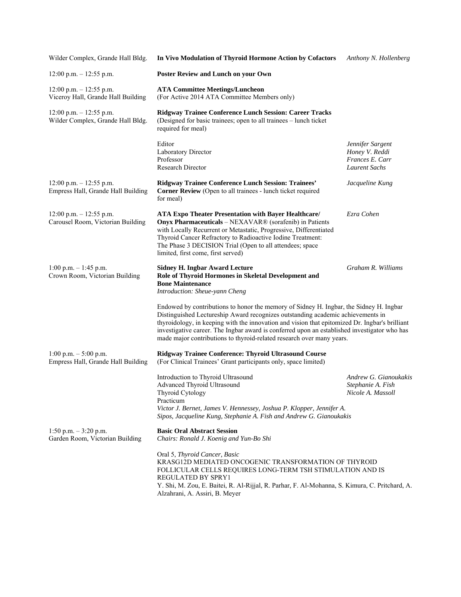| Wilder Complex, Grande Hall Bldg.                                | In Vivo Modulation of Thyroid Hormone Action by Cofactors                                                                                                                                                                                                                                                                                                                                                                                            | Anthony N. Hollenberg                                                         |
|------------------------------------------------------------------|------------------------------------------------------------------------------------------------------------------------------------------------------------------------------------------------------------------------------------------------------------------------------------------------------------------------------------------------------------------------------------------------------------------------------------------------------|-------------------------------------------------------------------------------|
| $12:00$ p.m. $-12:55$ p.m.                                       | <b>Poster Review and Lunch on your Own</b>                                                                                                                                                                                                                                                                                                                                                                                                           |                                                                               |
| $12:00$ p.m. $-12:55$ p.m.<br>Viceroy Hall, Grande Hall Building | <b>ATA Committee Meetings/Luncheon</b><br>(For Active 2014 ATA Committee Members only)                                                                                                                                                                                                                                                                                                                                                               |                                                                               |
| $12:00$ p.m. $-12:55$ p.m.<br>Wilder Complex, Grande Hall Bldg.  | <b>Ridgway Trainee Conference Lunch Session: Career Tracks</b><br>(Designed for basic trainees; open to all trainees - lunch ticket<br>required for meal)                                                                                                                                                                                                                                                                                            |                                                                               |
|                                                                  | Editor<br>Laboratory Director<br>Professor<br><b>Research Director</b>                                                                                                                                                                                                                                                                                                                                                                               | Jennifer Sargent<br>Honey V. Reddi<br>Frances E. Carr<br><b>Laurent Sachs</b> |
| $12:00$ p.m. $-12:55$ p.m.<br>Empress Hall, Grande Hall Building | Ridgway Trainee Conference Lunch Session: Trainees'<br><b>Corner Review</b> (Open to all trainees - lunch ticket required<br>for meal)                                                                                                                                                                                                                                                                                                               | Jacqueline Kung                                                               |
| $12:00$ p.m. $-12:55$ p.m.<br>Carousel Room, Victorian Building  | <b>ATA Expo Theater Presentation with Bayer Healthcare/</b><br>Onyx Pharmaceuticals - NEXAVAR® (sorafenib) in Patients<br>with Locally Recurrent or Metastatic, Progressive, Differentiated<br>Thyroid Cancer Refractory to Radioactive Iodine Treatment:<br>The Phase 3 DECISION Trial (Open to all attendees; space<br>limited, first come, first served)                                                                                          | Ezra Cohen                                                                    |
| $1:00$ p.m. $-1:45$ p.m.<br>Crown Room, Victorian Building       | <b>Sidney H. Ingbar Award Lecture</b><br>Role of Thyroid Hormones in Skeletal Development and<br><b>Bone Maintenance</b><br>Introduction: Sheue-yann Cheng                                                                                                                                                                                                                                                                                           | Graham R. Williams                                                            |
|                                                                  | Endowed by contributions to honor the memory of Sidney H. Ingbar, the Sidney H. Ingbar<br>Distinguished Lectureship Award recognizes outstanding academic achievements in<br>thyroidology, in keeping with the innovation and vision that epitomized Dr. Ingbar's brilliant<br>investigative career. The Ingbar award is conferred upon an established investigator who has<br>made major contributions to thyroid-related research over many years. |                                                                               |
| 1:00 p.m. $-$ 5:00 p.m.<br>Empress Hall, Grande Hall Building    | Ridgway Trainee Conference: Thyroid Ultrasound Course<br>(For Clinical Trainees' Grant participants only, space limited)                                                                                                                                                                                                                                                                                                                             |                                                                               |
|                                                                  | Introduction to Thyroid Ultrasound<br>Advanced Thyroid Ultrasound<br>Thyroid Cytology<br>Practicum<br>Victor J. Bernet, James V. Hennessey, Joshua P. Klopper, Jennifer A.<br>Sipos, Jacqueline Kung, Stephanie A. Fish and Andrew G. Gianoukakis                                                                                                                                                                                                    | Andrew G. Gianoukakis<br>Stephanie A. Fish<br>Nicole A. Massoll               |
| 1:50 p.m. $-3:20$ p.m.<br>Garden Room, Victorian Building        | <b>Basic Oral Abstract Session</b><br>Chairs: Ronald J. Koenig and Yun-Bo Shi                                                                                                                                                                                                                                                                                                                                                                        |                                                                               |
|                                                                  | Oral 5, Thyroid Cancer, Basic<br>KRASG12D MEDIATED ONCOGENIC TRANSFORMATION OF THYROID<br>FOLLICULAR CELLS REQUIRES LONG-TERM TSH STIMULATION AND IS<br><b>REGULATED BY SPRY1</b><br>Y. Shi, M. Zou, E. Baitei, R. Al-Rijjal, R. Parhar, F. Al-Mohanna, S. Kimura, C. Pritchard, A.<br>Alzahrani, A. Assiri, B. Meyer                                                                                                                                |                                                                               |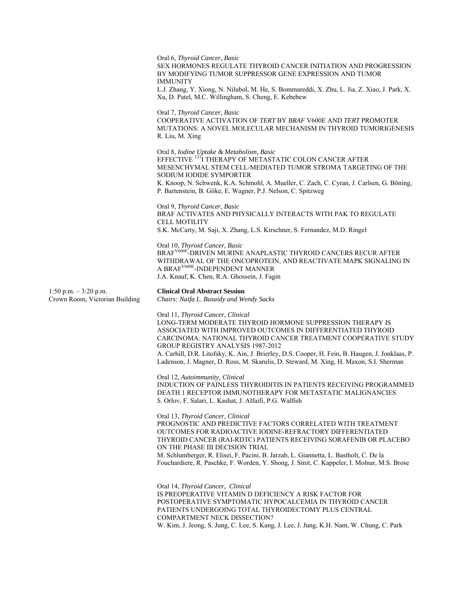Oral 6, *Thyroid Cancer, Basic*  SEX HORMONES REGULATE THYROID CANCER INITIATION AND PROGRESSION BY MODIFYING TUMOR SUPPRESSOR GENE EXPRESSION AND TUMOR IMMUNITY L.J. Zhang, Y. Xiong, N. Nilubol, M. He, S. Bommareddi, X. Zhu, L. Jia, Z. Xiao, J. Park, X. Xu, D. Patel, M.C. Willingham, S. Cheng, E. Kebebew Oral 7, *Thyroid Cancer, Basic*  COOPERATIVE ACTIVATION OF *TERT* BY *BRAF* V600E AND *TERT* PROMOTER MUTATIONS: A NOVEL MOLECULAR MECHANISM IN THYROID TUMORIGENESIS R. Liu, M. Xing Oral 8, *Iodine Uptake & Metabolism, Basic*  EFFECTIVE <sup>131</sup>I THERAPY OF METASTATIC COLON CANCER AFTER MESENCHYMAL STEM CELL-MEDIATED TUMOR STROMA TARGETING OF THE SODIUM IODIDE SYMPORTER K. Knoop, N. Schwenk, K.A. Schmohl, A. Mueller, C. Zach, C. Cyran, J. Carlsen, G. Böning, P. Bartenstein, B. Göke, E. Wagner, P.J. Nelson, C. Spitzweg Oral 9, *Thyroid Cancer, Basic*  BRAF ACTIVATES AND PHYSICALLY INTERACTS WITH PAK TO REGULATE CELL MOTILITY S.K. McCarty, M. Saji, X. Zhang, L.S. Kirschner, S. Fernandez, M.D. Ringel Oral 10, *Thyroid Cancer, Basic*  BRAF<sup>V600E</sup>-DRIVEN MURINE ANAPLASTIC THYROID CANCERS RECUR AFTER WITHDRAWAL OF THE ONCOPROTEIN, AND REACTIVATE MAPK SIGNALING IN A BRAFV600E-INDEPENDENT MANNER J.A. Knauf, K. Chen, R.A. Ghossein, J. Fagin 1:50 p.m. – 3:20 p.m. **Clinical Oral Abstract Session**  Crown Room, Victorian Building *Chairs: Naifa L. Busaidy and Wendy Sacks*  Oral 11, *Thyroid Cancer, Clinical*  LONG-TERM MODERATE THYROID HORMONE SUPPRESSION THERAPY IS ASSOCIATED WITH IMPROVED OUTCOMES IN DIFFERENTIATED THYROID CARCINOMA: NATIONAL THYROID CANCER TREATMENT COOPERATIVE STUDY GROUP REGISTRY ANALYSIS 1987-2012

A. Carhill, D.R. Litofsky, K. Ain, J. Brierley, D.S. Cooper, H. Fein, B. Haugen, J. Jonklaas, P. Ladenson, J. Magner, D. Ross, M. Skarulis, D. Steward, M. Xing, H. Maxon, S.I. Sherman

Oral 12, *Autoimmunity, Clinical* 

INDUCTION OF PAINLESS THYROIDITIS IN PATIENTS RECEIVING PROGRAMMED DEATH 1 RECEPTOR IMMUNOTHERAPY FOR METASTATIC MALIGNANCIES *S*. Orlov, F. Salari, L. Kashat, J. Alfaifi*,* P.G. Walfish

Oral 13, *Thyroid Cancer, Clinical* 

PROGNOSTIC AND PREDICTIVE FACTORS CORRELATED WITH TREATMENT OUTCOMES FOR RADIOACTIVE IODINE-REFRACTORY DIFFERENTIATED THYROID CANCER (RAI-RDTC) PATIENTS RECEIVING SORAFENIB OR PLACEBO ON THE PHASE III DECISION TRIAL M. Schlumberger*,* R. Elisei, F. Pacini, B. Jarzab, L. Giannetta, L. Bastholt, C. De la

Fouchardiere, R. Paschke, F. Worden, Y. Shong, J. Smit, C. Kappeler, I. Molnar, M.S. Brose

Oral 14, *Thyroid Cancer, Clinical*  IS PREOPERATIVE VITAMIN D DEFICIENCY A RISK FACTOR FOR POSTOPERATIVE SYMPTOMATIC HYPOCALCEMIA IN THYROID CANCER PATIENTS UNDERGOING TOTAL THYROIDECTOMY PLUS CENTRAL COMPARTMENT NECK DISSECTION? W. Kim, J. Jeong, S. Jung, C. Lee, S. Kang, J. Lee, J. Jung, K.H. Nam, W. Chung, C. Park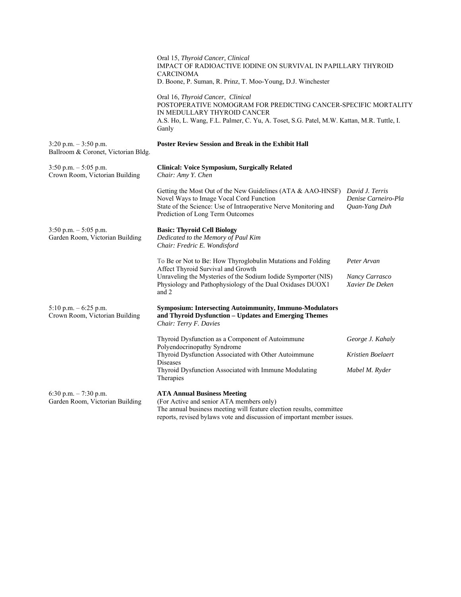|                                                                 | Oral 15, Thyroid Cancer, Clinical<br>IMPACT OF RADIOACTIVE IODINE ON SURVIVAL IN PAPILLARY THYROID<br><b>CARCINOMA</b><br>D. Boone, P. Suman, R. Prinz, T. Moo-Young, D.J. Winchester                                                    |                                                  |
|-----------------------------------------------------------------|------------------------------------------------------------------------------------------------------------------------------------------------------------------------------------------------------------------------------------------|--------------------------------------------------|
|                                                                 | Oral 16, Thyroid Cancer, Clinical<br>POSTOPERATIVE NOMOGRAM FOR PREDICTING CANCER-SPECIFIC MORTALITY<br>IN MEDULLARY THYROID CANCER<br>A.S. Ho, L. Wang, F.L. Palmer, C. Yu, A. Toset, S.G. Patel, M.W. Kattan, M.R. Tuttle, I.<br>Ganly |                                                  |
| $3:20$ p.m. $-3:50$ p.m.<br>Ballroom & Coronet, Victorian Bldg. | <b>Poster Review Session and Break in the Exhibit Hall</b>                                                                                                                                                                               |                                                  |
| $3:50$ p.m. $-5:05$ p.m.<br>Crown Room, Victorian Building      | <b>Clinical: Voice Symposium, Surgically Related</b><br>Chair: Amy Y. Chen                                                                                                                                                               |                                                  |
|                                                                 | Getting the Most Out of the New Guidelines (ATA & AAO-HNSF) David J. Terris<br>Novel Ways to Image Vocal Cord Function<br>State of the Science: Use of Intraoperative Nerve Monitoring and<br>Prediction of Long Term Outcomes           | Denise Carneiro-Pla<br>Quan-Yang Duh             |
| $3:50$ p.m. $-5:05$ p.m.<br>Garden Room, Victorian Building     | <b>Basic: Thyroid Cell Biology</b><br>Dedicated to the Memory of Paul Kim<br>Chair: Fredric E. Wondisford                                                                                                                                |                                                  |
|                                                                 | To Be or Not to Be: How Thyroglobulin Mutations and Folding<br>Affect Thyroid Survival and Growth<br>Unraveling the Mysteries of the Sodium Iodide Symporter (NIS)<br>Physiology and Pathophysiology of the Dual Oxidases DUOX1<br>and 2 | Peter Arvan<br>Nancy Carrasco<br>Xavier De Deken |
| $5:10$ p.m. $-6:25$ p.m.<br>Crown Room, Victorian Building      | <b>Symposium: Intersecting Autoimmunity, Immuno-Modulators</b><br>and Thyroid Dysfunction - Updates and Emerging Themes<br>Chair: Terry F. Davies                                                                                        |                                                  |
|                                                                 | Thyroid Dysfunction as a Component of Autoimmune<br>Polyendocrinopathy Syndrome                                                                                                                                                          | George J. Kahaly                                 |
|                                                                 | Thyroid Dysfunction Associated with Other Autoimmune<br><b>Diseases</b>                                                                                                                                                                  | Kristien Boelaert                                |
|                                                                 | Thyroid Dysfunction Associated with Immune Modulating<br>Therapies                                                                                                                                                                       | Mabel M. Ryder                                   |
| 6:30 p.m. $-7:30$ p.m.<br>Garden Room, Victorian Building       | <b>ATA Annual Business Meeting</b><br>(For Active and senior ATA members only)<br>The annual business meeting will feature election results, committee<br>reports, revised bylaws vote and discussion of important member issues.        |                                                  |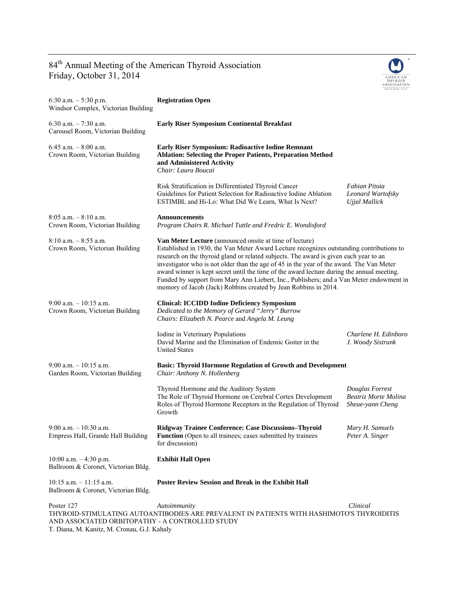## 84<sup>th</sup> Annual Meeting of the American Thyroid Association Friday, October 31, 2014

AND ASSOCIATED ORBITOPATHY - A CONTROLLED STUDY

T. Diana, M. Kanitz, M. Cronau, G.J. Kahaly



| 6:30 a.m. $-5:30$ p.m.<br>Windsor Complex, Victorian Building     | <b>Registration Open</b>                                                                                                                                                                                                                                                                                                                                                                                                                                                                                                                                                                                    |                                                             |
|-------------------------------------------------------------------|-------------------------------------------------------------------------------------------------------------------------------------------------------------------------------------------------------------------------------------------------------------------------------------------------------------------------------------------------------------------------------------------------------------------------------------------------------------------------------------------------------------------------------------------------------------------------------------------------------------|-------------------------------------------------------------|
| 6:30 a.m. $-7:30$ a.m.<br>Carousel Room, Victorian Building       | <b>Early Riser Symposium Continental Breakfast</b>                                                                                                                                                                                                                                                                                                                                                                                                                                                                                                                                                          |                                                             |
| 6:45 a.m. $-$ 8:00 a.m.<br>Crown Room, Victorian Building         | Early Riser Symposium: Radioactive Iodine Remnant<br><b>Ablation: Selecting the Proper Patients, Preparation Method</b><br>and Administered Activity<br>Chair: Laura Boucai                                                                                                                                                                                                                                                                                                                                                                                                                                 |                                                             |
|                                                                   | Risk Stratification in Differentiated Thyroid Cancer<br>Guidelines for Patient Selection for Radioactive Iodine Ablation<br>ESTIMBL and Hi-Lo: What Did We Learn, What Is Next?                                                                                                                                                                                                                                                                                                                                                                                                                             | Fabian Pitoia<br>Leonard Wartofsky<br>Ujjal Mallick         |
| $8:05$ a.m. $-8:10$ a.m.<br>Crown Room, Victorian Building        | <b>Announcements</b><br>Program Chairs R. Michael Tuttle and Fredric E. Wondisford                                                                                                                                                                                                                                                                                                                                                                                                                                                                                                                          |                                                             |
| $8:10$ a.m. $-8:55$ a.m.<br>Crown Room, Victorian Building        | <b>Van Meter Lecture</b> (announced onsite at time of lecture)<br>Established in 1930, the Van Meter Award Lecture recognizes outstanding contributions to<br>research on the thyroid gland or related subjects. The award is given each year to an<br>investigator who is not older than the age of 45 in the year of the award. The Van Meter<br>award winner is kept secret until the time of the award lecture during the annual meeting.<br>Funded by support from Mary Ann Liebert, Inc., Publishers; and a Van Meter endowment in<br>memory of Jacob (Jack) Robbins created by Jean Robbins in 2014. |                                                             |
| $9:00$ a.m. $-10:15$ a.m.<br>Crown Room, Victorian Building       | <b>Clinical: ICCIDD Iodine Deficiency Symposium</b><br>Dedicated to the Memory of Gerard "Jerry" Burrow<br>Chairs: Elizabeth N. Pearce and Angela M. Leung                                                                                                                                                                                                                                                                                                                                                                                                                                                  |                                                             |
|                                                                   | Iodine in Veterinary Populations<br>David Marine and the Elimination of Endemic Goiter in the<br><b>United States</b>                                                                                                                                                                                                                                                                                                                                                                                                                                                                                       | Charlene H. Edinboro<br>J. Woody Sistrunk                   |
| $9:00$ a.m. $-10:15$ a.m.<br>Garden Room, Victorian Building      | <b>Basic: Thyroid Hormone Regulation of Growth and Development</b><br>Chair: Anthony N. Hollenberg                                                                                                                                                                                                                                                                                                                                                                                                                                                                                                          |                                                             |
|                                                                   | Thyroid Hormone and the Auditory System<br>The Role of Thyroid Hormone on Cerebral Cortex Development<br>Roles of Thyroid Hormone Receptors in the Regulation of Thyroid<br>Growth                                                                                                                                                                                                                                                                                                                                                                                                                          | Douglas Forrest<br>Beatriz Morte Molina<br>Sheue-yann Cheng |
| $9:00$ a.m. $-10:30$ a.m.<br>Empress Hall, Grande Hall Building   | Ridgway Trainee Conference: Case Discussions-Thyroid<br><b>Function</b> (Open to all trainees; cases submitted by trainees<br>for discussion)                                                                                                                                                                                                                                                                                                                                                                                                                                                               | Mary H. Samuels<br>Peter A. Singer                          |
| 10:00 a.m. $-4:30$ p.m.<br>Ballroom & Coronet, Victorian Bldg.    | <b>Exhibit Hall Open</b>                                                                                                                                                                                                                                                                                                                                                                                                                                                                                                                                                                                    |                                                             |
| $10:15$ a.m. $-11:15$ a.m.<br>Ballroom & Coronet, Victorian Bldg. | <b>Poster Review Session and Break in the Exhibit Hall</b>                                                                                                                                                                                                                                                                                                                                                                                                                                                                                                                                                  |                                                             |
| Poster 127                                                        | Autoimmunity<br>THYROID-STIMULATING AUTOANTIBODIES ARE PREVALENT IN PATIENTS WITH HASHIMOTO'S THYROIDITIS                                                                                                                                                                                                                                                                                                                                                                                                                                                                                                   | Clinical                                                    |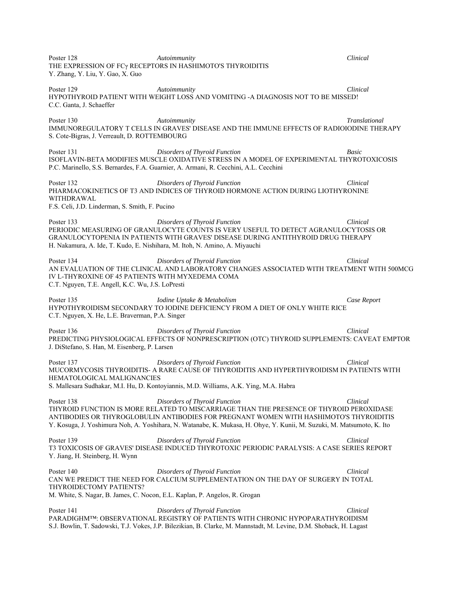Poster 128 *Autoimmunity Clinical*  THE EXPRESSION OF FCγ RECEPTORS IN HASHIMOTO'S THYROIDITIS Y. Zhang, Y. Liu, Y. Gao, X. Guo Poster 129 *Autoimmunity Clinical*  HYPOTHYROID PATIENT WITH WEIGHT LOSS AND VOMITING -A DIAGNOSIS NOT TO BE MISSED! C.C. Ganta, J. Schaeffer Poster 130 *Autoimmunity Translational*  IMMUNOREGULATORY T CELLS IN GRAVES' DISEASE AND THE IMMUNE EFFECTS OF RADIOIODINE THERAPY S. Cote-Bigras, J. Verreault, D. ROTTEMBOURG Poster 131 *Disorders of Thyroid Function Basic*  ISOFLAVIN-BETA MODIFIES MUSCLE OXIDATIVE STRESS IN A MODEL OF EXPERIMENTAL THYROTOXICOSIS P.C. Marinello, S.S. Bernardes, F.A. Guarnier, A. Armani, R. Cecchini, A.L. Cecchini Poster 132 *Disorders of Thyroid Function Clinical*  PHARMACOKINETICS OF T3 AND INDICES OF THYROID HORMONE ACTION DURING LIOTHYRONINE WITHDRAWAL F.S. Celi, J.D. Linderman, S. Smith, F. Pucino Poster 133 *Disorders of Thyroid Function Clinical*  PERIODIC MEASURING OF GRANULOCYTE COUNTS IS VERY USEFUL TO DETECT AGRANULOCYTOSIS OR GRANULOCYTOPENIA IN PATIENTS WITH GRAVES' DISEASE DURING ANTITHYROID DRUG THERAPY H. Nakamura, A. Ide, T. Kudo, E. Nishihara, M. Itoh, N. Amino, A. Miyauchi Poster 134 *Disorders of Thyroid Function Clinical*  AN EVALUATION OF THE CLINICAL AND LABORATORY CHANGES ASSOCIATED WITH TREATMENT WITH 500MCG IV L-THYROXINE OF 45 PATIENTS WITH MYXEDEMA COMA C.T. Nguyen, T.E. Angell, K.C. Wu, J.S. LoPresti Poster 135 *Iodine Uptake & Metabolism Case Report*  HYPOTHYROIDISM SECONDARY TO IODINE DEFICIENCY FROM A DIET OF ONLY WHITE RICE C.T. Nguyen, X. He, L.E. Braverman, P.A. Singer Poster 136 *Disorders of Thyroid Function Clinical*  PREDICTING PHYSIOLOGICAL EFFECTS OF NONPRESCRIPTION (OTC) THYROID SUPPLEMENTS: CAVEAT EMPTOR J. DiStefano, S. Han, M. Eisenberg, P. Larsen Poster 137 *Disorders of Thyroid Function Clinical*  MUCORMYCOSIS THYROIDITIS- A RARE CAUSE OF THYROIDITIS AND HYPERTHYROIDISM IN PATIENTS WITH HEMATOLOGICAL MALIGNANCIES S. Mallesara Sudhakar, M.I. Hu, D. Kontoyiannis, M.D. Williams, A.K. Ying, M.A. Habra Poster 138 *Disorders of Thyroid Function Clinical*  THYROID FUNCTION IS MORE RELATED TO MISCARRIAGE THAN THE PRESENCE OF THYROID PEROXIDASE ANTIBODIES OR THYROGLOBULIN ANTIBODIES FOR PREGNANT WOMEN WITH HASHIMOTO'S THYROIDITIS Y. Kosuga, J. Yoshimura Noh, A. Yoshihara, N. Watanabe, K. Mukasa, H. Ohye, Y. Kunii, M. Suzuki, M. Matsumoto, K. Ito Poster 139 *Disorders of Thyroid Function Clinical*  T3 TOXICOSIS OF GRAVES' DISEASE INDUCED THYROTOXIC PERIODIC PARALYSIS: A CASE SERIES REPORT Y. Jiang, H. Steinberg, H. Wynn Poster 140 *Disorders of Thyroid Function Clinical*  CAN WE PREDICT THE NEED FOR CALCIUM SUPPLEMENTATION ON THE DAY OF SURGERY IN TOTAL THYROIDECTOMY PATIENTS? M. White, S. Nagar, B. James, C. Nocon, E.L. Kaplan, P. Angelos, R. Grogan Poster 141 *Disorders of Thyroid Function Clinical*  PARADIGHM™: OBSERVATIONAL REGISTRY OF PATIENTS WITH CHRONIC HYPOPARATHYROIDISM S.J. Bowlin, T. Sadowski, T.J. Vokes, J.P. Bilezikian, B. Clarke, M. Mannstadt, M. Levine, D.M. Shoback, H. Lagast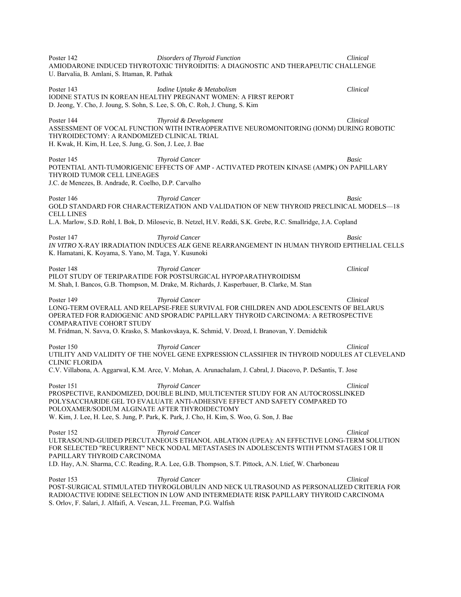Poster 142 *Disorders of Thyroid Function Clinical*  AMIODARONE INDUCED THYROTOXIC THYROIDITIS: A DIAGNOSTIC AND THERAPEUTIC CHALLENGE U. Barvalia, B. Amlani, S. Ittaman, R. Pathak Poster 143 *Iodine Uptake & Metabolism Clinical*  IODINE STATUS IN KOREAN HEALTHY PREGNANT WOMEN: A FIRST REPORT D. Jeong, Y. Cho, J. Joung, S. Sohn, S. Lee, S. Oh, C. Roh, J. Chung, S. Kim Poster 144 *Thyroid & Development Clinical*  ASSESSMENT OF VOCAL FUNCTION WITH INTRAOPERATIVE NEUROMONITORING (IONM) DURING ROBOTIC THYROIDECTOMY: A RANDOMIZED CLINICAL TRIAL H. Kwak, H. Kim, H. Lee, S. Jung, G. Son, J. Lee, J. Bae Poster 145 *Thyroid Cancer Basic*  POTENTIAL ANTI-TUMORIGENIC EFFECTS OF AMP - ACTIVATED PROTEIN KINASE (AMPK) ON PAPILLARY THYROID TUMOR CELL LINEAGES J.C. de Menezes, B. Andrade, R. Coelho, D.P. Carvalho Poster 146 *Thyroid Cancer Basic*  GOLD STANDARD FOR CHARACTERIZATION AND VALIDATION OF NEW THYROID PRECLINICAL MODELS—18 CELL LINES L.A. Marlow, S.D. Rohl, I. Bok, D. Milosevic, B. Netzel, H.V. Reddi, S.K. Grebe, R.C. Smallridge, J.A. Copland Poster 147 *Thyroid Cancer Basic IN VITRO* X-RAY IRRADIATION INDUCES *ALK* GENE REARRANGEMENT IN HUMAN THYROID EPITHELIAL CELLS K. Hamatani, K. Koyama, S. Yano, M. Taga, Y. Kusunoki Poster 148 *Thyroid Cancer Clinical*  PILOT STUDY OF TERIPARATIDE FOR POSTSURGICAL HYPOPARATHYROIDISM M. Shah, I. Bancos, G.B. Thompson, M. Drake, M. Richards, J. Kasperbauer, B. Clarke, M. Stan Poster 149 *Thyroid Cancer Clinical*  LONG-TERM OVERALL AND RELAPSE-FREE SURVIVAL FOR CHILDREN AND ADOLESCENTS OF BELARUS OPERATED FOR RADIOGENIC AND SPORADIC PAPILLARY THYROID CARCINOMA: A RETROSPECTIVE COMPARATIVE COHORT STUDY M. Fridman, N. Savva, O. Krasko, S. Mankovskaya, K. Schmid, V. Drozd, I. Branovan, Y. Demidchik Poster 150 *Thyroid Cancer Clinical*  UTILITY AND VALIDITY OF THE NOVEL GENE EXPRESSION CLASSIFIER IN THYROID NODULES AT CLEVELAND CLINIC FLORIDA C.V. Villabona, A. Aggarwal, K.M. Arce, V. Mohan, A. Arunachalam, J. Cabral, J. Diacovo, P. DeSantis, T. Jose Poster 151 *Thyroid Cancer Clinical*  PROSPECTIVE, RANDOMIZED, DOUBLE BLIND, MULTICENTER STUDY FOR AN AUTOCROSSLINKED POLYSACCHARIDE GEL TO EVALUATE ANTI-ADHESIVE EFFECT AND SAFETY COMPARED TO POLOXAMER/SODIUM ALGINATE AFTER THYROIDECTOMY W. Kim, J. Lee, H. Lee, S. Jung, P. Park, K. Park, J. Cho, H. Kim, S. Woo, G. Son, J. Bae Poster 152 *Thyroid Cancer Thyroid Cancer Clinical Clinical Clinical Clinical Clinical Clinical Clinical Clinical Clinical Clinical Clinical Clinical Clinical Clinical Clinical Clinical* ULTRASOUND-GUIDED PERCUTANEOUS ETHANOL ABLATION (UPEA): AN EFFECTIVE LONG-TERM SOLUTION FOR SELECTED "RECURRENT" NECK NODAL METASTASES IN ADOLESCENTS WITH PTNM STAGES I OR II PAPILLARY THYROID CARCINOMA I.D. Hay, A.N. Sharma, C.C. Reading, R.A. Lee, G.B. Thompson, S.T. Pittock, A.N. Ltief, W. Charboneau Poster 153 *Thyroid Cancer Clinical*  POST-SURGICAL STIMULATED THYROGLOBULIN AND NECK ULTRASOUND AS PERSONALIZED CRITERIA FOR RADIOACTIVE IODINE SELECTION IN LOW AND INTERMEDIATE RISK PAPILLARY THYROID CARCINOMA S. Orlov, F. Salari, J. Alfaifi, A. Vescan, J.L. Freeman, P.G. Walfish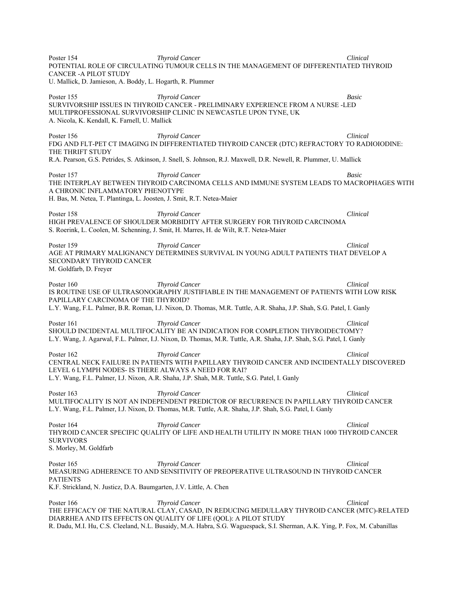Poster 154 *Thyroid Cancer Clinical*  POTENTIAL ROLE OF CIRCULATING TUMOUR CELLS IN THE MANAGEMENT OF DIFFERENTIATED THYROID CANCER -A PILOT STUDY U. Mallick, D. Jamieson, A. Boddy, L. Hogarth, R. Plummer Poster 155 *Thyroid Cancer Basic*  SURVIVORSHIP ISSUES IN THYROID CANCER - PRELIMINARY EXPERIENCE FROM A NURSE -LED MULTIPROFESSIONAL SURVIVORSHIP CLINIC IN NEWCASTLE UPON TYNE, UK A. Nicola, K. Kendall, K. Farnell, U. Mallick Poster 156 *Thyroid Cancer Clinical*  FDG AND FLT-PET CT IMAGING IN DIFFERENTIATED THYROID CANCER (DTC) REFRACTORY TO RADIOIODINE: THE THRIFT STUDY R.A. Pearson, G.S. Petrides, S. Atkinson, J. Snell, S. Johnson, R.J. Maxwell, D.R. Newell, R. Plummer, U. Mallick Poster 157 *Thyroid Cancer Basic*  THE INTERPLAY BETWEEN THYROID CARCINOMA CELLS AND IMMUNE SYSTEM LEADS TO MACROPHAGES WITH A CHRONIC INFLAMMATORY PHENOTYPE H. Bas, M. Netea, T. Plantinga, L. Joosten, J. Smit, R.T. Netea-Maier Poster 158 **Thyroid Cancer** Clinical **Clinical Clinical Clinical Clinical Clinical** HIGH PREVALENCE OF SHOULDER MORBIDITY AFTER SURGERY FOR THYROID CARCINOMA S. Roerink, L. Coolen, M. Schenning, J. Smit, H. Marres, H. de Wilt, R.T. Netea-Maier Poster 159 *Thyroid Cancer Clinical*  AGE AT PRIMARY MALIGNANCY DETERMINES SURVIVAL IN YOUNG ADULT PATIENTS THAT DEVELOP A SECONDARY THYROID CANCER M. Goldfarb, D. Freyer Poster 160 *Thyroid Cancer* **Clinical**  *Thyroid Cancer* **Clinical** *Clinical*IS ROUTINE USE OF ULTRASONOGRAPHY JUSTIFIABLE IN THE MANAGEMENT OF PATIENTS WITH LOW RISK PAPILLARY CARCINOMA OF THE THYROID? L.Y. Wang, F.L. Palmer, B.R. Roman, I.J. Nixon, D. Thomas, M.R. Tuttle, A.R. Shaha, J.P. Shah, S.G. Patel, I. Ganly Poster 161 *Thyroid Cancer Clinical*  SHOULD INCIDENTAL MULTIFOCALITY BE AN INDICATION FOR COMPLETION THYROIDECTOMY? L.Y. Wang, J. Agarwal, F.L. Palmer, I.J. Nixon, D. Thomas, M.R. Tuttle, A.R. Shaha, J.P. Shah, S.G. Patel, I. Ganly Poster 162 *Thyroid Cancer Clinical*  CENTRAL NECK FAILURE IN PATIENTS WITH PAPILLARY THYROID CANCER AND INCIDENTALLY DISCOVERED LEVEL 6 LYMPH NODES- IS THERE ALWAYS A NEED FOR RAI? L.Y. Wang, F.L. Palmer, I.J. Nixon, A.R. Shaha, J.P. Shah, M.R. Tuttle, S.G. Patel, I. Ganly Poster 163 **Thyroid Cancer** Clinical **Poster 163** *Clinical* **Clinical Clinical** MULTIFOCALITY IS NOT AN INDEPENDENT PREDICTOR OF RECURRENCE IN PAPILLARY THYROID CANCER L.Y. Wang, F.L. Palmer, I.J. Nixon, D. Thomas, M.R. Tuttle, A.R. Shaha, J.P. Shah, S.G. Patel, I. Ganly Poster 164 *Thyroid Cancer Clinical*  THYROID CANCER SPECIFIC QUALITY OF LIFE AND HEALTH UTILITY IN MORE THAN 1000 THYROID CANCER SURVIVORS S. Morley, M. Goldfarb Poster 165 *Thyroid Cancer Clinical*  MEASURING ADHERENCE TO AND SENSITIVITY OF PREOPERATIVE ULTRASOUND IN THYROID CANCER PATIENTS K.F. Strickland, N. Justicz, D.A. Baumgarten, J.V. Little, A. Chen Poster 166 *Thyroid Cancer Clinical*  THE EFFICACY OF THE NATURAL CLAY, CASAD, IN REDUCING MEDULLARY THYROID CANCER (MTC)-RELATED DIARRHEA AND ITS EFFECTS ON QUALITY OF LIFE (QOL): A PILOT STUDY

R. Dadu, M.I. Hu, C.S. Cleeland, N.L. Busaidy, M.A. Habra, S.G. Waguespack, S.I. Sherman, A.K. Ying, P. Fox, M. Cabanillas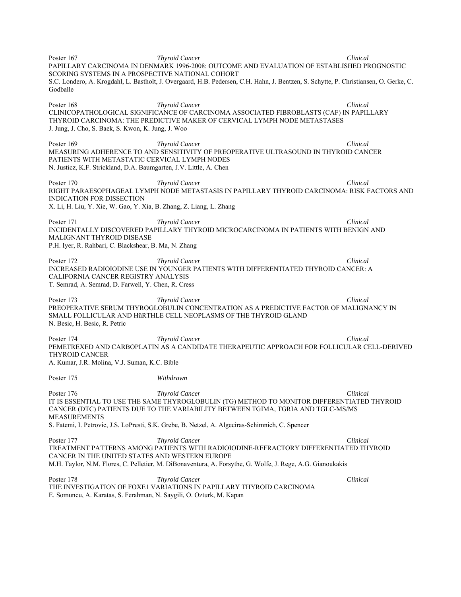Poster 167 *Thyroid Cancer Clinical*  PAPILLARY CARCINOMA IN DENMARK 1996-2008: OUTCOME AND EVALUATION OF ESTABLISHED PROGNOSTIC SCORING SYSTEMS IN A PROSPECTIVE NATIONAL COHORT S.C. Londero, A. Krogdahl, L. Bastholt, J. Overgaard, H.B. Pedersen, C.H. Hahn, J. Bentzen, S. Schytte, P. Christiansen, O. Gerke, C. Godballe Poster 168 *Thyroid Cancer Clinical*  CLINICOPATHOLOGICAL SIGNIFICANCE OF CARCINOMA ASSOCIATED FIBROBLASTS (CAF) IN PAPILLARY THYROID CARCINOMA: THE PREDICTIVE MAKER OF CERVICAL LYMPH NODE METASTASES J. Jung, J. Cho, S. Baek, S. Kwon, K. Jung, J. Woo Poster 169 *Thyroid Cancer Clinical*  MEASURING ADHERENCE TO AND SENSITIVITY OF PREOPERATIVE ULTRASOUND IN THYROID CANCER PATIENTS WITH METASTATIC CERVICAL LYMPH NODES N. Justicz, K.F. Strickland, D.A. Baumgarten, J.V. Little, A. Chen Poster 170 *Thyroid Cancer* **Clinical**  *Thyroid Cancer* **Clinical** *Clinical*RIGHT PARAESOPHAGEAL LYMPH NODE METASTASIS IN PAPILLARY THYROID CARCINOMA: RISK FACTORS AND INDICATION FOR DISSECTION X. Li, H. Liu, Y. Xie, W. Gao, Y. Xia, B. Zhang, Z. Liang, L. Zhang Poster 171 *Thyroid Cancer Clinical*  INCIDENTALLY DISCOVERED PAPILLARY THYROID MICROCARCINOMA IN PATIENTS WITH BENIGN AND MALIGNANT THYROID DISEASE P.H. Iyer, R. Rahbari, C. Blackshear, B. Ma, N. Zhang Poster 172 *Thyroid Cancer Clinical*  INCREASED RADIOIODINE USE IN YOUNGER PATIENTS WITH DIFFERENTIATED THYROID CANCER: A CALIFORNIA CANCER REGISTRY ANALYSIS T. Semrad, A. Semrad, D. Farwell, Y. Chen, R. Cress Poster 173 *Thyroid Cancer Clinical*  PREOPERATIVE SERUM THYROGLOBULIN CONCENTRATION AS A PREDICTIVE FACTOR OF MALIGNANCY IN SMALL FOLLICULAR AND HüRTHLE CELL NEOPLASMS OF THE THYROID GLAND N. Besic, H. Besic, R. Petric Poster 174 *Thyroid Cancer* **Clinical**  *Thyroid Cancer* **Clinical** *Clinical*PEMETREXED AND CARBOPLATIN AS A CANDIDATE THERAPEUTIC APPROACH FOR FOLLICULAR CELL-DERIVED THYROID CANCER A. Kumar, J.R. Molina, V.J. Suman, K.C. Bible Poster 175 *Withdrawn* Poster 176 *Thyroid Cancer Clinical*  IT IS ESSENTIAL TO USE THE SAME THYROGLOBULIN (TG) METHOD TO MONITOR DIFFERENTIATED THYROID CANCER (DTC) PATIENTS DUE TO THE VARIABILITY BETWEEN TGIMA, TGRIA AND TGLC-MS/MS MEASUREMENTS S. Fatemi, I. Petrovic, J.S. LoPresti, S.K. Grebe, B. Netzel, A. Algeciras-Schimnich, C. Spencer Poster 177 *Thyroid Cancer Clinical*  TREATMENT PATTERNS AMONG PATIENTS WITH RADIOIODINE-REFRACTORY DIFFERENTIATED THYROID CANCER IN THE UNITED STATES AND WESTERN EUROPE M.H. Taylor, N.M. Flores, C. Pelletier, M. DiBonaventura, A. Forsythe, G. Wolfe, J. Rege, A.G. Gianoukakis Poster 178 *Thyroid Cancer* **Clinical**  *Thyroid Cancer* **Clinical** *Clinical*THE INVESTIGATION OF FOXE1 VARIATIONS IN PAPILLARY THYROID CARCINOMA E. Somuncu, A. Karatas, S. Ferahman, N. Saygili, O. Ozturk, M. Kapan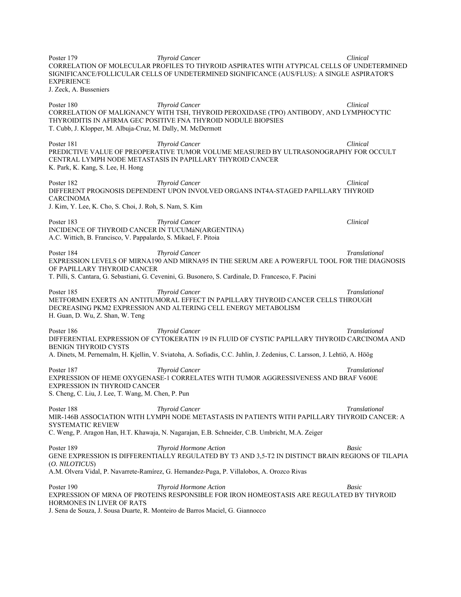Poster 179 *Thyroid Cancer Clinical*  CORRELATION OF MOLECULAR PROFILES TO THYROID ASPIRATES WITH ATYPICAL CELLS OF UNDETERMINED SIGNIFICANCE/FOLLICULAR CELLS OF UNDETERMINED SIGNIFICANCE (AUS/FLUS): A SINGLE ASPIRATOR'S EXPERIENCE J. Zeck, A. Busseniers Poster 180 *Thyroid Cancer Clinical*  CORRELATION OF MALIGNANCY WITH TSH, THYROID PEROXIDASE (TPO) ANTIBODY, AND LYMPHOCYTIC THYROIDITIS IN AFIRMA GEC POSITIVE FNA THYROID NODULE BIOPSIES T. Cubb, J. Klopper, M. Albuja-Cruz, M. Dally, M. McDermott Poster 181 *Thyroid Cancer* **Clinical**  *Thyroid Cancer* **Clinical** *Clinical*PREDICTIVE VALUE OF PREOPERATIVE TUMOR VOLUME MEASURED BY ULTRASONOGRAPHY FOR OCCULT CENTRAL LYMPH NODE METASTASIS IN PAPILLARY THYROID CANCER K. Park, K. Kang, S. Lee, H. Hong Poster 182 *Thyroid Cancer Clinical*  DIFFERENT PROGNOSIS DEPENDENT UPON INVOLVED ORGANS INT4A-STAGED PAPILLARY THYROID CARCINOMA J. Kim, Y. Lee, K. Cho, S. Choi, J. Roh, S. Nam, S. Kim Poster 183 *Thyroid Cancer* Clinical *Thyroid Cancer* Clinical **Clinical** *Clinical Clinical Clinical Clinical Clinical Clinical Clinical Clinical Clinical Clinical Clinical Clinical Clinical Clin* INCIDENCE OF THYROID CANCER IN TUCUMáN(ARGENTINA) A.C. Wittich, B. Francisco, V. Pappalardo, S. Mikael, F. Pitoia Poster 184 **Thyroid Cancer** Translational **Translational Translational Translational** EXPRESSION LEVELS OF MIRNA190 AND MIRNA95 IN THE SERUM ARE A POWERFUL TOOL FOR THE DIAGNOSIS OF PAPILLARY THYROID CANCER T. Pilli, S. Cantara, G. Sebastiani, G. Cevenini, G. Busonero, S. Cardinale, D. Francesco, F. Pacini Poster 185 **Thyroid Cancer** Translational **Translational Translational Translational** METFORMIN EXERTS AN ANTITUMORAL EFFECT IN PAPILLARY THYROID CANCER CELLS THROUGH DECREASING PKM2 EXPRESSION AND ALTERING CELL ENERGY METABOLISM H. Guan, D. Wu, Z. Shan, W. Teng Poster 186 *Thyroid Cancer Translational*  DIFFERENTIAL EXPRESSION OF CYTOKERATIN 19 IN FLUID OF CYSTIC PAPILLARY THYROID CARCINOMA AND BENIGN THYROID CYSTS A. Dinets, M. Pernemalm, H. Kjellin, V. Sviatoha, A. Sofiadis, C.C. Juhlin, J. Zedenius, C. Larsson, J. Lehtiö, A. Höög Poster 187 *Thyroid Cancer Translational*  EXPRESSION OF HEME OXYGENASE-1 CORRELATES WITH TUMOR AGGRESSIVENESS AND BRAF V600E EXPRESSION IN THYROID CANCER S. Cheng, C. Liu, J. Lee, T. Wang, M. Chen, P. Pun Poster 188 *Thyroid Cancer Translational*  MIR-146B ASSOCIATION WITH LYMPH NODE METASTASIS IN PATIENTS WITH PAPILLARY THYROID CANCER: A SYSTEMATIC REVIEW C. Weng, P. Aragon Han, H.T. Khawaja, N. Nagarajan, E.B. Schneider, C.B. Umbricht, M.A. Zeiger Poster 189 *Thyroid Hormone Action Basic*  GENE EXPRESSION IS DIFFERENTIALLY REGULATED BY T3 AND 3,5-T2 IN DISTINCT BRAIN REGIONS OF TILAPIA (*O. NILOTICUS*) A.M. Olvera Vidal, P. Navarrete-Ramírez, G. Hernandez-Puga, P. Villalobos, A. Orozco Rivas Poster 190 *Thyroid Hormone Action Basic*  EXPRESSION OF MRNA OF PROTEINS RESPONSIBLE FOR IRON HOMEOSTASIS ARE REGULATED BY THYROID HORMONES IN LIVER OF RATS J. Sena de Souza, J. Sousa Duarte, R. Monteiro de Barros Maciel, G. Giannocco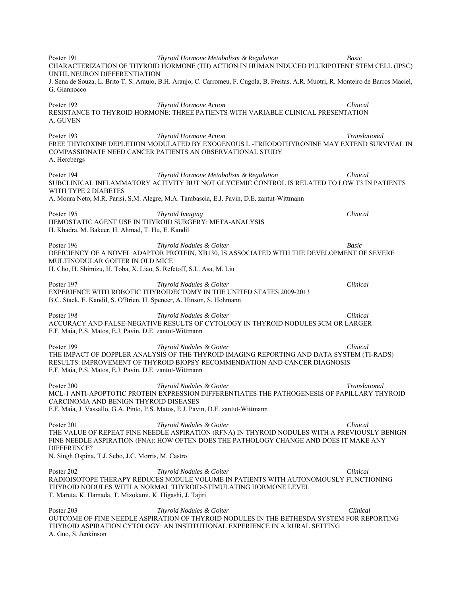Poster 191 *Thyroid Hormone Metabolism & Regulation Basic*  CHARACTERIZATION OF THYROID HORMONE (TH) ACTION IN HUMAN INDUCED PLURIPOTENT STEM CELL (IPSC) UNTIL NEURON DIFFERENTIATION J. Sena de Souza, L. Brito T. S. Araujo, B.H. Araujo, C. Carromeu, F. Cugola, B. Freitas, A.R. Muotri, R. Monteiro de Barros Maciel, G. Giannocco Poster 192 *Thyroid Hormone Action Clinical*  RESISTANCE TO THYROID HORMONE: THREE PATIENTS WITH VARIABLE CLINICAL PRESENTATION A. GUVEN Poster 193 *Thyroid Hormone Action Translational*  FREE THYROXINE DEPLETION MODULATED BY EXOGENOUS L -TRIIODOTHYRONINE MAY EXTEND SURVIVAL IN COMPASSIONATE NEED CANCER PATIENTS AN OBSERVATIONAL STUDY A. Hercbergs Poster 194 *Thyroid Hormone Metabolism & Regulation Clinical*  SUBCLINICAL INFLAMMATORY ACTIVITY BUT NOT GLYCEMIC CONTROL IS RELATED TO LOW T3 IN PATIENTS WITH TYPE 2 DIABETES A. Moura Neto, M.R. Parisi, S.M. Alegre, M.A. Tambascia, E.J. Pavin, D.E. zantut-Wittmann Poster 195 *Thyroid Imaging Clinical*  HEMOSTATIC AGENT USE IN THYROID SURGERY: META-ANALYSIS H. Khadra, M. Bakeer, H. Ahmad, T. Hu, E. Kandil Poster 196 *Thyroid Nodules & Goiter Basic*  DEFICIENCY OF A NOVEL ADAPTOR PROTEIN, XB130, IS ASSOCIATED WITH THE DEVELOPMENT OF SEVERE MULTINODULAR GOITER IN OLD MICE H. Cho, H. Shimizu, H. Toba, X. Liao, S. Refetoff, S.L. Asa, M. Liu Poster 197 *Thyroid Nodules & Goiter Clinical*  EXPERIENCE WITH ROBOTIC THYROIDECTOMY IN THE UNITED STATES 2009-2013 B.C. Stack, E. Kandil, S. O'Brien, H. Spencer, A. Hinson, S. Hohmann Poster 198 *Thyroid Nodules & Goiter Clinical*  ACCURACY AND FALSE-NEGATIVE RESULTS OF CYTOLOGY IN THYROID NODULES 3CM OR LARGER F.F. Maia, P.S. Matos, E.J. Pavin, D.E. zantut-Wittmann Poster 199 *Thyroid Nodules & Goiter Clinical*  THE IMPACT OF DOPPLER ANALYSIS OF THE THYROID IMAGING REPORTING AND DATA SYSTEM (TI-RADS) RESULTS: IMPROVEMENT OF THYROID BIOPSY RECOMMENDATION AND CANCER DIAGNOSIS F.F. Maia, P.S. Matos, E.J. Pavin, D.E. zantut-Wittmann Poster 200 *Thyroid Nodules & Goiter Translational*  MCL-1 ANTI-APOPTOTIC PROTEIN EXPRESSION DIFFERENTIATES THE PATHOGENESIS OF PAPILLARY THYROID CARCINOMA AND BENIGN THYROID DISEASES F.F. Maia, J. Vassallo, G.A. Pinto, P.S. Matos, E.J. Pavin, D.E. zantut-Wittmann Poster 201 *Thyroid Nodules & Goiter Clinical*  THE VALUE OF REPEAT FINE NEEDLE ASPIRATION (RFNA) IN THYROID NODULES WITH A PREVIOUSLY BENIGN FINE NEEDLE ASPIRATION (FNA): HOW OFTEN DOES THE PATHOLOGY CHANGE AND DOES IT MAKE ANY DIFFERENCE? N. Singh Ospina, T.J. Sebo, J.C. Morris, M. Castro Poster 202 *Thyroid Nodules & Goiter Clinical*  RADIOISOTOPE THERAPY REDUCES NODULE VOLUME IN PATIENTS WITH AUTONOMOUSLY FUNCTIONING THYROID NODULES WITH A NORMAL THYROID-STIMULATING HORMONE LEVEL T. Maruta, K. Hamada, T. Mizokami, K. Higashi, J. Tajiri Poster 203 *Thyroid Nodules & Goiter Clinical*  OUTCOME OF FINE NEEDLE ASPIRATION OF THYROID NODULES IN THE BETHESDA SYSTEM FOR REPORTING THYROID ASPIRATION CYTOLOGY: AN INSTITUTIONAL EXPERIENCE IN A RURAL SETTING A. Guo, S. Jenkinson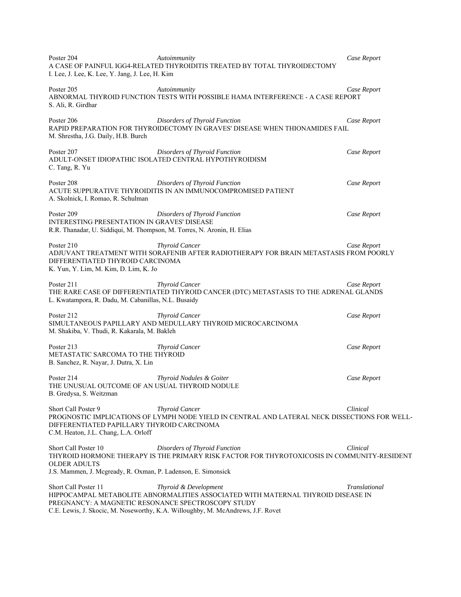| Poster 204<br>I. Lee, J. Lee, K. Lee, Y. Jang, J. Lee, H. Kim                                                                        | Autoimmunity<br>A CASE OF PAINFUL IGG4-RELATED THYROIDITIS TREATED BY TOTAL THYROIDECTOMY                                                                                                    | Case Report   |
|--------------------------------------------------------------------------------------------------------------------------------------|----------------------------------------------------------------------------------------------------------------------------------------------------------------------------------------------|---------------|
| Poster 205<br>S. Ali, R. Girdhar                                                                                                     | Autoimmunity<br>ABNORMAL THYROID FUNCTION TESTS WITH POSSIBLE HAMA INTERFERENCE - A CASE REPORT                                                                                              | Case Report   |
| Poster 206<br>M. Shrestha, J.G. Daily, H.B. Burch                                                                                    | Disorders of Thyroid Function<br>RAPID PREPARATION FOR THYROIDECTOMY IN GRAVES' DISEASE WHEN THIONAMIDES FAIL                                                                                | Case Report   |
| Poster 207<br>C. Tang, R. Yu                                                                                                         | Disorders of Thyroid Function<br>ADULT-ONSET IDIOPATHIC ISOLATED CENTRAL HYPOTHYROIDISM                                                                                                      | Case Report   |
| Poster 208<br>A. Skolnick, I. Romao, R. Schulman                                                                                     | Disorders of Thyroid Function<br>ACUTE SUPPURATIVE THYROIDITIS IN AN IMMUNOCOMPROMISED PATIENT                                                                                               | Case Report   |
| Poster 209<br>INTERESTING PRESENTATION IN GRAVES' DISEASE<br>R.R. Thanadar, U. Siddiqui, M. Thompson, M. Torres, N. Aronin, H. Elias | Disorders of Thyroid Function                                                                                                                                                                | Case Report   |
| Poster 210<br>DIFFERENTIATED THYROID CARCINOMA<br>K. Yun, Y. Lim, M. Kim, D. Lim, K. Jo                                              | <b>Thyroid Cancer</b><br>ADJUVANT TREATMENT WITH SORAFENIB AFTER RADIOTHERAPY FOR BRAIN METASTASIS FROM POORLY                                                                               | Case Report   |
| Poster 211<br>L. Kwatampora, R. Dadu, M. Cabanillas, N.L. Busaidy                                                                    | <b>Thyroid Cancer</b><br>THE RARE CASE OF DIFFERENTIATED THYROID CANCER (DTC) METASTASIS TO THE ADRENAL GLANDS                                                                               | Case Report   |
| Poster 212<br>M. Shakiba, V. Thudi, R. Kakarala, M. Bakleh                                                                           | <b>Thyroid Cancer</b><br>SIMULTANEOUS PAPILLARY AND MEDULLARY THYROID MICROCARCINOMA                                                                                                         | Case Report   |
| Poster 213<br>METASTATIC SARCOMA TO THE THYROID<br>B. Sanchez, R. Nayar, J. Dutra, X. Lin                                            | <b>Thyroid Cancer</b>                                                                                                                                                                        | Case Report   |
| Poster 214<br>THE UNUSUAL OUTCOME OF AN USUAL THYROID NODULE<br>B. Gredysa, S. Weitzman                                              | Thyroid Nodules & Goiter                                                                                                                                                                     | Case Report   |
| Short Call Poster 9<br>DIFFERENTIATED PAPILLARY THYROID CARCINOMA<br>C.M. Heaton, J.L. Chang, L.A. Orloff                            | <b>Thyroid Cancer</b><br>PROGNOSTIC IMPLICATIONS OF LYMPH NODE YIELD IN CENTRAL AND LATERAL NECK DISSECTIONS FOR WELL-                                                                       | Clinical      |
| Short Call Poster 10<br><b>OLDER ADULTS</b><br>J.S. Mammen, J. Mcgready, R. Oxman, P. Ladenson, E. Simonsick                         | Disorders of Thyroid Function<br>THYROID HORMONE THERAPY IS THE PRIMARY RISK FACTOR FOR THYROTOXICOSIS IN COMMUNITY-RESIDENT                                                                 | Clinical      |
| Short Call Poster 11<br>PREGNANCY: A MAGNETIC RESONANCE SPECTROSCOPY STUDY                                                           | Thyroid & Development<br>HIPPOCAMPAL METABOLITE ABNORMALITIES ASSOCIATED WITH MATERNAL THYROID DISEASE IN<br>C.E. Lewis, J. Skocic, M. Noseworthy, K.A. Willoughby, M. McAndrews, J.F. Rovet | Translational |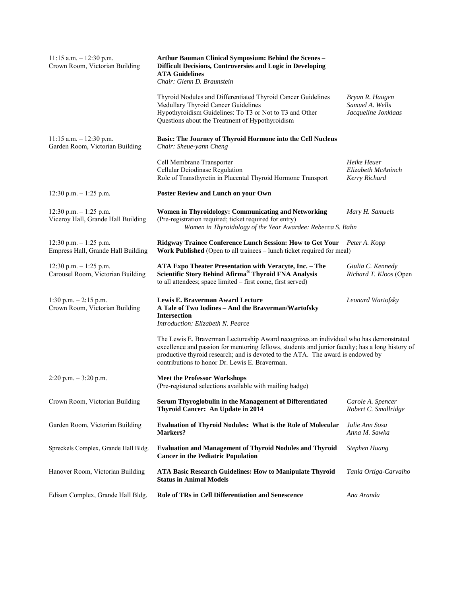| $11:15$ a.m. $-12:30$ p.m.<br>Crown Room, Victorian Building    | Arthur Bauman Clinical Symposium: Behind the Scenes -<br><b>Difficult Decisions, Controversies and Logic in Developing</b><br><b>ATA Guidelines</b><br>Chair: Glenn D. Braunstein                                                                                                                                               |                                                           |
|-----------------------------------------------------------------|---------------------------------------------------------------------------------------------------------------------------------------------------------------------------------------------------------------------------------------------------------------------------------------------------------------------------------|-----------------------------------------------------------|
|                                                                 | Thyroid Nodules and Differentiated Thyroid Cancer Guidelines<br>Medullary Thyroid Cancer Guidelines<br>Hypothyroidism Guidelines: To T3 or Not to T3 and Other<br>Questions about the Treatment of Hypothyroidism                                                                                                               | Bryan R. Haugen<br>Samuel A. Wells<br>Jacqueline Jonklaas |
| $11:15$ a.m. $-12:30$ p.m.<br>Garden Room, Victorian Building   | <b>Basic: The Journey of Thyroid Hormone into the Cell Nucleus</b><br>Chair: Sheue-yann Cheng                                                                                                                                                                                                                                   |                                                           |
|                                                                 | Cell Membrane Transporter<br>Cellular Deiodinase Regulation<br>Role of Transthyretin in Placental Thyroid Hormone Transport                                                                                                                                                                                                     | Heike Heuer<br>Elizabeth McAninch<br>Kerry Richard        |
| 12:30 p.m. $-1:25$ p.m.                                         | <b>Poster Review and Lunch on your Own</b>                                                                                                                                                                                                                                                                                      |                                                           |
| 12:30 p.m. $-1:25$ p.m.<br>Viceroy Hall, Grande Hall Building   | Women in Thyroidology: Communicating and Networking<br>(Pre-registration required; ticket required for entry)<br>Women in Thyroidology of the Year Awardee: Rebecca S. Bahn                                                                                                                                                     | Mary H. Samuels                                           |
| $12:30$ p.m. $-1:25$ p.m.<br>Empress Hall, Grande Hall Building | Ridgway Trainee Conference Lunch Session: How to Get Your Peter A. Kopp<br>Work Published (Open to all trainees - lunch ticket required for meal)                                                                                                                                                                               |                                                           |
| 12:30 p.m. $-1:25$ p.m.<br>Carousel Room, Victorian Building    | ATA Expo Theater Presentation with Veracyte, Inc. - The<br>Scientific Story Behind Afirma <sup>®</sup> Thyroid FNA Analysis<br>to all attendees; space limited - first come, first served)                                                                                                                                      | Giulia C. Kennedy<br>Richard T. Kloos (Open               |
| 1:30 p.m. $-2:15$ p.m.<br>Crown Room, Victorian Building        | Lewis E. Braverman Award Lecture<br>A Tale of Two Iodines - And the Braverman/Wartofsky<br><b>Intersection</b><br>Introduction: Elizabeth N. Pearce                                                                                                                                                                             | Leonard Wartofsky                                         |
|                                                                 | The Lewis E. Braverman Lectureship Award recognizes an individual who has demonstrated<br>excellence and passion for mentoring fellows, students and junior faculty; has a long history of<br>productive thyroid research; and is devoted to the ATA. The award is endowed by<br>contributions to honor Dr. Lewis E. Braverman. |                                                           |
| $2:20$ p.m. $-3:20$ p.m.                                        | <b>Meet the Professor Workshops</b><br>(Pre-registered selections available with mailing badge)                                                                                                                                                                                                                                 |                                                           |
| Crown Room, Victorian Building                                  | Serum Thyroglobulin in the Management of Differentiated<br><b>Thyroid Cancer: An Update in 2014</b>                                                                                                                                                                                                                             | Carole A. Spencer<br>Robert C. Smallridge                 |
| Garden Room, Victorian Building                                 | <b>Evaluation of Thyroid Nodules: What is the Role of Molecular</b><br>Markers?                                                                                                                                                                                                                                                 | Julie Ann Sosa<br>Anna M. Sawka                           |
| Spreckels Complex, Grande Hall Bldg.                            | <b>Evaluation and Management of Thyroid Nodules and Thyroid</b><br><b>Cancer in the Pediatric Population</b>                                                                                                                                                                                                                    | Stephen Huang                                             |
| Hanover Room, Victorian Building                                | <b>ATA Basic Research Guidelines: How to Manipulate Thyroid</b><br><b>Status in Animal Models</b>                                                                                                                                                                                                                               | Tania Ortiga-Carvalho                                     |
| Edison Complex, Grande Hall Bldg.                               | Role of TRs in Cell Differentiation and Senescence                                                                                                                                                                                                                                                                              | Ana Aranda                                                |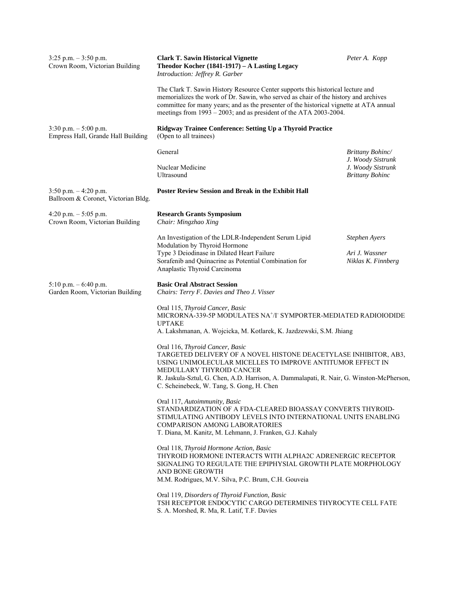| $3:25$ p.m. $-3:50$ p.m.<br>Crown Room, Victorian Building      | <b>Clark T. Sawin Historical Vignette</b><br>Theodor Kocher (1841-1917) – A Lasting Legacy<br>Introduction: Jeffrey R. Garber                                                                                                                                                                                                          | Peter A. Kopp                               |
|-----------------------------------------------------------------|----------------------------------------------------------------------------------------------------------------------------------------------------------------------------------------------------------------------------------------------------------------------------------------------------------------------------------------|---------------------------------------------|
|                                                                 | The Clark T. Sawin History Resource Center supports this historical lecture and<br>memorializes the work of Dr. Sawin, who served as chair of the history and archives<br>committee for many years; and as the presenter of the historical vignette at ATA annual<br>meetings from 1993 – 2003; and as president of the ATA 2003-2004. |                                             |
| $3:30$ p.m. $-5:00$ p.m.<br>Empress Hall, Grande Hall Building  | <b>Ridgway Trainee Conference: Setting Up a Thyroid Practice</b><br>(Open to all trainees)                                                                                                                                                                                                                                             |                                             |
|                                                                 | General                                                                                                                                                                                                                                                                                                                                | Brittany Bohinc/<br>J. Woody Sistrunk       |
|                                                                 | Nuclear Medicine<br>Ultrasound                                                                                                                                                                                                                                                                                                         | J. Woody Sistrunk<br><b>Brittany Bohinc</b> |
| $3:50$ p.m. $-4:20$ p.m.<br>Ballroom & Coronet, Victorian Bldg. | <b>Poster Review Session and Break in the Exhibit Hall</b>                                                                                                                                                                                                                                                                             |                                             |
| 4:20 p.m. $-5:05$ p.m.<br>Crown Room, Victorian Building        | <b>Research Grants Symposium</b><br>Chair: Mingzhao Xing                                                                                                                                                                                                                                                                               |                                             |
|                                                                 | An Investigation of the LDLR-Independent Serum Lipid<br>Modulation by Thyroid Hormone                                                                                                                                                                                                                                                  | <b>Stephen Ayers</b>                        |
|                                                                 | Type 3 Deiodinase in Dilated Heart Failure<br>Sorafenib and Quinacrine as Potential Combination for<br>Anaplastic Thyroid Carcinoma                                                                                                                                                                                                    | Ari J. Wassner<br>Niklas K. Finnberg        |
| $5:10$ p.m. $-6:40$ p.m.<br>Garden Room, Victorian Building     | <b>Basic Oral Abstract Session</b><br>Chairs: Terry F. Davies and Theo J. Visser                                                                                                                                                                                                                                                       |                                             |
|                                                                 | Oral 115, Thyroid Cancer, Basic<br>MICRORNA-339-5P MODULATES NA <sup>+</sup> /I <sup>-</sup> SYMPORTER-MEDIATED RADIOIODIDE<br><b>UPTAKE</b><br>A. Lakshmanan, A. Wojcicka, M. Kotlarek, K. Jazdzewski, S.M. Jhiang                                                                                                                    |                                             |
|                                                                 | Oral 116, Thyroid Cancer, Basic<br>TARGETED DELIVERY OF A NOVEL HISTONE DEACETYLASE INHIBITOR, AB3,<br>USING UNIMOLECULAR MICELLES TO IMPROVE ANTITUMOR EFFECT IN<br>MEDULLARY THYROID CANCER<br>R. Jaskula-Sztul, G. Chen, A.D. Harrison, A. Dammalapati, R. Nair, G. Winston-McPherson,<br>C. Scheinebeck, W. Tang, S. Gong, H. Chen |                                             |
|                                                                 | Oral 117, Autoimmunity, Basic<br>STANDARDIZATION OF A FDA-CLEARED BIOASSAY CONVERTS THYROID-<br>STIMULATING ANTIBODY LEVELS INTO INTERNATIONAL UNITS ENABLING<br><b>COMPARISON AMONG LABORATORIES</b><br>T. Diana, M. Kanitz, M. Lehmann, J. Franken, G.J. Kahaly                                                                      |                                             |
|                                                                 | Oral 118, Thyroid Hormone Action, Basic<br>THYROID HORMONE INTERACTS WITH ALPHA2C ADRENERGIC RECEPTOR<br>SIGNALING TO REGULATE THE EPIPHYSIAL GROWTH PLATE MORPHOLOGY<br>AND BONE GROWTH<br>M.M. Rodrigues, M.V. Silva, P.C. Brum, C.H. Gouveia                                                                                        |                                             |
|                                                                 | Oral 119, Disorders of Thyroid Function, Basic<br>TSH RECEPTOR ENDOCYTIC CARGO DETERMINES THYROCYTE CELL FATE<br>S. A. Morshed, R. Ma, R. Latif, T.F. Davies                                                                                                                                                                           |                                             |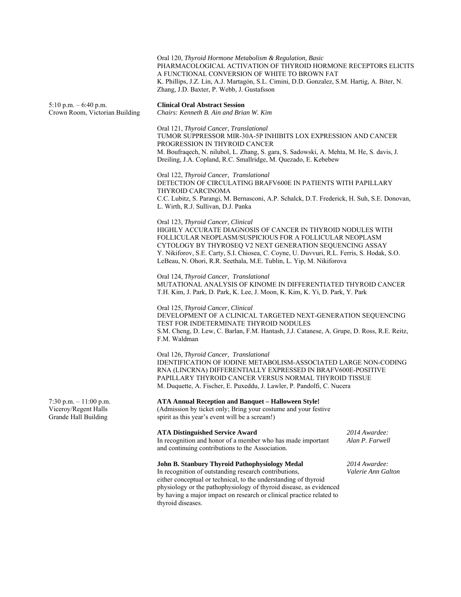Oral 120, *Thyroid Hormone Metabolism & Regulation, Basic*  PHARMACOLOGICAL ACTIVATION OF THYROID HORMONE RECEPTORS ELICITS A FUNCTIONAL CONVERSION OF WHITE TO BROWN FAT K. Phillips, J.Z. Lin, A.J. Martagón, S.L. Cimini, D.D. Gonzalez, S.M. Hartig, A. Biter, N. Zhang, J.D. Baxter, P. Webb, J. Gustafsson

5:10 p.m. – 6:40 p.m. **Clinical Oral Abstract Session** 

Crown Room, Victorian Building *Chairs: Kenneth B. Ain and Brian W. Kim* 

Oral 121, *Thyroid Cancer, Translational*  TUMOR SUPPRESSOR MIR-30A-5P INHIBITS LOX EXPRESSION AND CANCER PROGRESSION IN THYROID CANCER M. Boufraqech, N. nilubol, L. Zhang, S. gara, S. Sadowski, A. Mehta, M. He, S. davis, J. Dreiling, J.A. Copland, R.C. Smallridge, M. Quezado, E. Kebebew

Oral 122, *Thyroid Cancer, Translational*  DETECTION OF CIRCULATING BRAFV600E IN PATIENTS WITH PAPILLARY THYROID CARCINOMA C.C. Lubitz, S. Parangi, M. Bernasconi, A.P. Schalck, D.T. Frederick, H. Suh, S.E. Donovan, L. Wirth, R.J. Sullivan, D.J. Panka

#### Oral 123, *Thyroid Cancer, Clinical*

HIGHLY ACCURATE DIAGNOSIS OF CANCER IN THYROID NODULES WITH FOLLICULAR NEOPLASM/SUSPICIOUS FOR A FOLLICULAR NEOPLASM CYTOLOGY BY THYROSEQ V2 NEXT GENERATION SEQUENCING ASSAY Y. Nikiforov, S.E. Carty, S.I. Chiosea, C. Coyne, U. Duvvuri, R.L. Ferris, S. Hodak, S.O. LeBeau, N. Ohori, R.R. Seethala, M.E. Tublin, L. Yip, M. Nikiforova

Oral 124, *Thyroid Cancer, Translational*  MUTATIONAL ANALYSIS OF KINOME IN DIFFERENTIATED THYROID CANCER T.H. Kim, J. Park, D. Park, K. Lee, J. Moon, K. Kim, K. Yi, D. Park, Y. Park

### Oral 125, *Thyroid Cancer, Clinical*

DEVELOPMENT OF A CLINICAL TARGETED NEXT-GENERATION SEQUENCING TEST FOR INDETERMINATE THYROID NODULES S.M. Cheng, D. Lew, C. Barlan, F.M. Hantash, J.J. Catanese, A. Grupe, D. Ross, R.E. Reitz, F.M. Waldman

Oral 126, *Thyroid Cancer, Translational*  IDENTIFICATION OF IODINE METABOLISM-ASSOCIATED LARGE NON-CODING RNA (LINCRNA) DIFFERENTIALLY EXPRESSED IN BRAFV600E-POSITIVE PAPILLARY THYROID CANCER VERSUS NORMAL THYROID TISSUE M. Duquette, A. Fischer, E. Puxeddu, J. Lawler, P. Pandolfi, C. Nucera

#### 7:30 p.m. – 11:00 p.m. **ATA Annual Reception and Banquet – Halloween Style!**

Viceroy/Regent Halls (Admission by ticket only; Bring your costume and your festive Grande Hall Building spirit as this year's event will be a scream!)

#### **ATA Distinguished Service Award** *2014 Awardee:*

In recognition and honor of a member who has made important *Alan P. Farwell*  and continuing contributions to the Association.

#### **John B. Stanbury Thyroid Pathophysiology Medal** *2014 Awardee:*

In recognition of outstanding research contributions, *Valerie Ann Galton*  either conceptual or technical, to the understanding of thyroid physiology or the pathophysiology of thyroid disease, as evidenced by having a major impact on research or clinical practice related to thyroid diseases.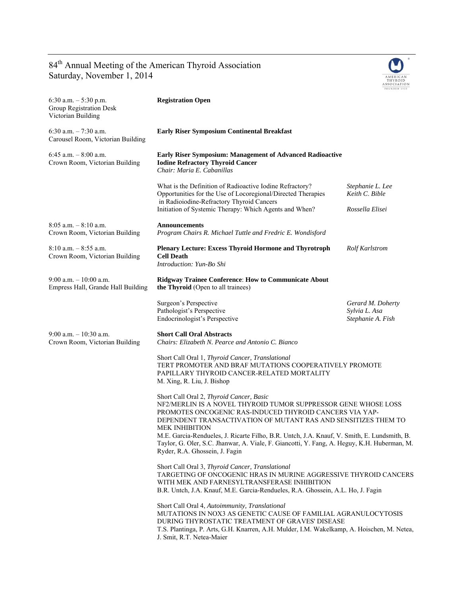## 84<sup>th</sup> Annual Meeting of the American Thyroid Association Saturday, November 1, 2014



| 6:30 a.m. $-5:30$ p.m.<br>Group Registration Desk<br>Victorian Building | <b>Registration Open</b>                                                                                                                                                                                                                                                                                                                                                                                                                                                                         |                                                         |
|-------------------------------------------------------------------------|--------------------------------------------------------------------------------------------------------------------------------------------------------------------------------------------------------------------------------------------------------------------------------------------------------------------------------------------------------------------------------------------------------------------------------------------------------------------------------------------------|---------------------------------------------------------|
| 6:30 a.m. $-7:30$ a.m.<br>Carousel Room, Victorian Building             | <b>Early Riser Symposium Continental Breakfast</b>                                                                                                                                                                                                                                                                                                                                                                                                                                               |                                                         |
| 6:45 a.m. $-8:00$ a.m.<br>Crown Room, Victorian Building                | Early Riser Symposium: Management of Advanced Radioactive<br><b>Iodine Refractory Thyroid Cancer</b><br>Chair: Maria E. Cabanillas                                                                                                                                                                                                                                                                                                                                                               |                                                         |
|                                                                         | What is the Definition of Radioactive Iodine Refractory?<br>Opportunities for the Use of Locoregional/Directed Therapies<br>in Radioiodine-Refractory Thyroid Cancers                                                                                                                                                                                                                                                                                                                            | Stephanie L. Lee<br>Keith C. Bible                      |
|                                                                         | Initiation of Systemic Therapy: Which Agents and When?                                                                                                                                                                                                                                                                                                                                                                                                                                           | Rossella Elisei                                         |
| $8:05$ a.m. $-8:10$ a.m.<br>Crown Room, Victorian Building              | <b>Announcements</b><br>Program Chairs R. Michael Tuttle and Fredric E. Wondisford                                                                                                                                                                                                                                                                                                                                                                                                               |                                                         |
| $8:10$ a.m. $-8:55$ a.m.<br>Crown Room, Victorian Building              | <b>Plenary Lecture: Excess Thyroid Hormone and Thyrotroph</b><br><b>Cell Death</b><br>Introduction: Yun-Bo Shi                                                                                                                                                                                                                                                                                                                                                                                   | <b>Rolf Karlstrom</b>                                   |
| $9:00$ a.m. $-10:00$ a.m.<br>Empress Hall, Grande Hall Building         | Ridgway Trainee Conference: How to Communicate About<br><b>the Thyroid</b> (Open to all trainees)                                                                                                                                                                                                                                                                                                                                                                                                |                                                         |
|                                                                         | Surgeon's Perspective<br>Pathologist's Perspective<br>Endocrinologist's Perspective                                                                                                                                                                                                                                                                                                                                                                                                              | Gerard M. Doherty<br>Sylvia L. Asa<br>Stephanie A. Fish |
| $9:00$ a.m. $-10:30$ a.m.<br>Crown Room, Victorian Building             | <b>Short Call Oral Abstracts</b><br>Chairs: Elizabeth N. Pearce and Antonio C. Bianco                                                                                                                                                                                                                                                                                                                                                                                                            |                                                         |
|                                                                         | Short Call Oral 1, Thyroid Cancer, Translational<br>TERT PROMOTER AND BRAF MUTATIONS COOPERATIVELY PROMOTE<br>PAPILLARY THYROID CANCER-RELATED MORTALITY<br>M. Xing, R. Liu, J. Bishop                                                                                                                                                                                                                                                                                                           |                                                         |
|                                                                         | Short Call Oral 2, Thyroid Cancer, Basic<br>NF2/MERLIN IS A NOVEL THYROID TUMOR SUPPRESSOR GENE WHOSE LOSS<br>PROMOTES ONCOGENIC RAS-INDUCED THYROID CANCERS VIA YAP-<br>DEPENDENT TRANSACTIVATION OF MUTANT RAS AND SENSITIZES THEM TO<br><b>MEK INHIBITION</b><br>M.E. Garcia-Rendueles, J. Ricarte Filho, B.R. Untch, J.A. Knauf, V. Smith, E. Lundsmith, B.<br>Taylor, G. Oler, S.C. Jhanwar, A. Viale, F. Giancotti, Y. Fang, A. Heguy, K.H. Huberman, M.<br>Ryder, R.A. Ghossein, J. Fagin |                                                         |
|                                                                         | Short Call Oral 3, Thyroid Cancer, Translational<br>TARGETING OF ONCOGENIC HRAS IN MURINE AGGRESSIVE THYROID CANCERS<br>WITH MEK AND FARNESYLTRANSFERASE INHIBITION<br>B.R. Untch, J.A. Knauf, M.E. Garcia-Rendueles, R.A. Ghossein, A.L. Ho, J. Fagin                                                                                                                                                                                                                                           |                                                         |
|                                                                         | Short Call Oral 4, Autoimmunity, Translational<br>MUTATIONS IN NOX3 AS GENETIC CAUSE OF FAMILIAL AGRANULOCYTOSIS<br>DURING THYROSTATIC TREATMENT OF GRAVES' DISEASE<br>T.S. Plantinga, P. Arts, G.H. Knarren, A.H. Mulder, I.M. Wakelkamp, A. Hoischen, M. Netea,<br>J. Smit, R.T. Netea-Maier                                                                                                                                                                                                   |                                                         |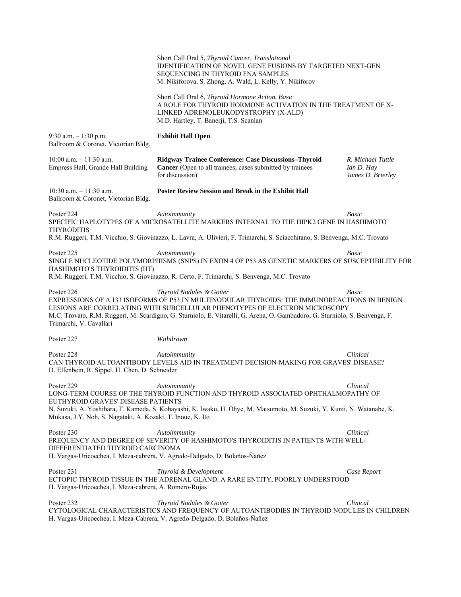|                                                                                                                | Short Call Oral 5, Thyroid Cancer, Translational<br><b>IDENTIFICATION OF NOVEL GENE FUSIONS BY TARGETED NEXT-GEN</b><br>SEQUENCING IN THYROID FNA SAMPLES<br>M. Nikiforova, S. Zhong, A. Wald, L. Kelly, Y. Nikiforov                                                                                                                 |                                                      |
|----------------------------------------------------------------------------------------------------------------|---------------------------------------------------------------------------------------------------------------------------------------------------------------------------------------------------------------------------------------------------------------------------------------------------------------------------------------|------------------------------------------------------|
|                                                                                                                | Short Call Oral 6, Thyroid Hormone Action, Basic<br>A ROLE FOR THYROID HORMONE ACTIVATION IN THE TREATMENT OF X-<br>LINKED ADRENOLEUKODYSTROPHY (X-ALD)<br>M.D. Hartley, T. Banerji, T.S. Scanlan                                                                                                                                     |                                                      |
| 9:30 a.m. $-1:30$ p.m.<br>Ballroom & Coronet, Victorian Bldg.                                                  | <b>Exhibit Hall Open</b>                                                                                                                                                                                                                                                                                                              |                                                      |
| $10:00$ a.m. $-11:30$ a.m.<br>Empress Hall, Grande Hall Building                                               | Ridgway Trainee Conference: Case Discussions-Thyroid<br>Cancer (Open to all trainees; cases submitted by trainees<br>for discussion)                                                                                                                                                                                                  | R. Michael Tuttle<br>Ian D. Hay<br>James D. Brierley |
| $10:30$ a.m. $-11:30$ a.m.<br>Ballroom & Coronet, Victorian Bldg.                                              | <b>Poster Review Session and Break in the Exhibit Hall</b>                                                                                                                                                                                                                                                                            |                                                      |
| Poster 224<br><b>THYRODITIS</b>                                                                                | Autoimmunity<br>SPECIFIC HAPLOTYPES OF A MICROSATELLITE MARKERS INTERNAL TO THE HIPK2 GENE IN HASHIMOTO                                                                                                                                                                                                                               | Basic                                                |
|                                                                                                                | R.M. Ruggeri, T.M. Vicchio, S. Giovinazzo, L. Lavra, A. Ulivieri, F. Trimarchi, S. Sciacchitano, S. Benvenga, M.C. Trovato                                                                                                                                                                                                            |                                                      |
| Poster 225<br>HASHIMOTO'S THYROIDITIS (HT)                                                                     | Autoimmunity<br>SINGLE NUCLEOTIDE POLYMORPHISMS (SNPS) IN EXON 4 OF P53 AS GENETIC MARKERS OF SUSCEPTIBILITY FOR<br>R.M. Ruggeri, T.M. Vicchio, S. Giovinazzo, R. Certo, F. Trimarchi, S. Benvenga, M.C. Trovato                                                                                                                      | Basic                                                |
|                                                                                                                |                                                                                                                                                                                                                                                                                                                                       |                                                      |
| Poster 226<br>Trimarchi, V. Cavallari                                                                          | Thyroid Nodules & Goiter<br>EXPRESSIONS OF A 133 ISOFORMS OF P53 IN MULTINODULAR THYROIDS: THE IMMUNOREACTIONS IN BENIGN<br>LESIONS ARE CORRELATING WITH SUBCELLULAR PHENOTYPES OF ELECTRON MICROSCOPY<br>M.C. Trovato, R.M. Ruggeri, M. Scardigno, G. Sturniolo, E. Vitarelli, G. Arena, O. Gambadoro, G. Sturniolo, S. Benvenga, F. | Basic                                                |
| Poster 227                                                                                                     | Withdrawn                                                                                                                                                                                                                                                                                                                             |                                                      |
| Poster 228<br>D. Elfenbein, R. Sippel, H. Chen, D. Schneider                                                   | Autoimmunity<br>CAN THYROID AUTOANTIBODY LEVELS AID IN TREATMENT DECISION-MAKING FOR GRAVES' DISEASE?                                                                                                                                                                                                                                 | Clinical                                             |
| Poster 229<br>EUTHYROID GRAVES' DISEASE PATIENTS<br>Mukasa, J.Y. Noh, S. Nagataki, A. Kozaki, T. Inoue, K. Ito | Autoimmunity<br>LONG-TERM COURSE OF THE THYROID FUNCTION AND THYROID ASSOCIATED OPHTHALMOPATHY OF<br>N. Suzuki, A. Yoshihara, T. Kameda, S. Kobayashi, K. Iwaku, H. Ohye, M. Matsumoto, M. Suzuki, Y. Kunii, N. Watanabe, K.                                                                                                          | Clinical                                             |
| Poster 230<br>DIFFERENTIATED THYROID CARCINOMA                                                                 | Autoimmunity<br>FREQUENCY AND DEGREE OF SEVERITY OF HASHIMOTO'S THYROIDITIS IN PATIENTS WITH WELL-<br>H. Vargas-Uricoechea, I. Meza-cabrera, V. Agredo-Delgado, D. Bolaños-Ñañez                                                                                                                                                      | Clinical                                             |
| Poster 231<br>H. Vargas-Uricoechea, I. Meza-cabrera, A. Romero-Rojas                                           | Thyroid & Development<br>ECTOPIC THYROID TISSUE IN THE ADRENAL GLAND: A RARE ENTITY, POORLY UNDERSTOOD                                                                                                                                                                                                                                | Case Report                                          |
| Poster 232                                                                                                     | Thyroid Nodules & Goiter<br>CYTOLOGICAL CHARACTERISTICS AND FREQUENCY OF AUTOANTIBODIES IN THYROID NODULES IN CHILDREN<br>H. Vargas-Uricoechea, I. Meza-Cabrera, V. Agredo-Delgado, D. Bolaños-Ñañez                                                                                                                                  | Clinical                                             |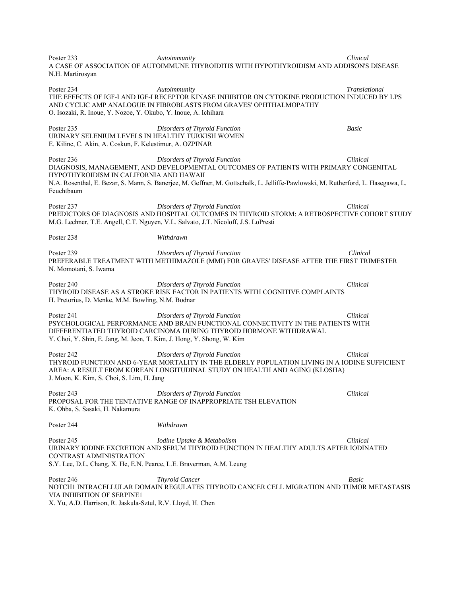Poster 233 *Autoimmunity Clinical*  A CASE OF ASSOCIATION OF AUTOIMMUNE THYROIDITIS WITH HYPOTHYROIDISM AND ADDISON'S DISEASE N.H. Martirosyan Poster 234 *Autoimmunity Translational*  THE EFFECTS OF IGF-I AND IGF-I RECEPTOR KINASE INHIBITOR ON CYTOKINE PRODUCTION INDUCED BY LPS AND CYCLIC AMP ANALOGUE IN FIBROBLASTS FROM GRAVES' OPHTHALMOPATHY O. Isozaki, R. Inoue, Y. Nozoe, Y. Okubo, Y. Inoue, A. Ichihara Poster 235 *Disorders of Thyroid Function Basic*  URINARY SELENIUM LEVELS IN HEALTHY TURKISH WOMEN E. Kilinc, C. Akin, A. Coskun, F. Kelestimur, A. OZPINAR Poster 236 *Disorders of Thyroid Function Clinical*  DIAGNOSIS, MANAGEMENT, AND DEVELOPMENTAL OUTCOMES OF PATIENTS WITH PRIMARY CONGENITAL HYPOTHYROIDISM IN CALIFORNIA AND HAWAII N.A. Rosenthal, E. Bezar, S. Mann, S. Banerjee, M. Geffner, M. Gottschalk, L. Jelliffe-Pawlowski, M. Rutherford, L. Hasegawa, L. Feuchtbaum Poster 237 *Disorders of Thyroid Function Clinical*  PREDICTORS OF DIAGNOSIS AND HOSPITAL OUTCOMES IN THYROID STORM: A RETROSPECTIVE COHORT STUDY M.G. Lechner, T.E. Angell, C.T. Nguyen, V.L. Salvato, J.T. Nicoloff, J.S. LoPresti Poster 238 *Withdrawn* Poster 239 *Disorders of Thyroid Function Clinical*  PREFERABLE TREATMENT WITH METHIMAZOLE (MMI) FOR GRAVES' DISEASE AFTER THE FIRST TRIMESTER N. Momotani, S. Iwama Poster 240 *Disorders of Thyroid Function Clinical*  THYROID DISEASE AS A STROKE RISK FACTOR IN PATIENTS WITH COGNITIVE COMPLAINTS H. Pretorius, D. Menke, M.M. Bowling, N.M. Bodnar Poster 241 *Disorders of Thyroid Function Clinical*  PSYCHOLOGICAL PERFORMANCE AND BRAIN FUNCTIONAL CONNECTIVITY IN THE PATIENTS WITH DIFFERENTIATED THYROID CARCINOMA DURING THYROID HORMONE WITHDRAWAL Y. Choi, Y. Shin, E. Jang, M. Jeon, T. Kim, J. Hong, Y. Shong, W. Kim Poster 242 *Disorders of Thyroid Function Clinical*  THYROID FUNCTION AND 6-YEAR MORTALITY IN THE ELDERLY POPULATION LIVING IN A IODINE SUFFICIENT AREA: A RESULT FROM KOREAN LONGITUDINAL STUDY ON HEALTH AND AGING (KLOSHA) J. Moon, K. Kim, S. Choi, S. Lim, H. Jang Poster 243 *Disorders of Thyroid Function Clinical*  PROPOSAL FOR THE TENTATIVE RANGE OF INAPPROPRIATE TSH ELEVATION K. Ohba, S. Sasaki, H. Nakamura Poster 244 *Withdrawn*  Poster 245 *Iodine Uptake & Metabolism Clinical*  URINARY IODINE EXCRETION AND SERUM THYROID FUNCTION IN HEALTHY ADULTS AFTER IODINATED CONTRAST ADMINISTRATION S.Y. Lee, D.L. Chang, X. He, E.N. Pearce, L.E. Braverman, A.M. Leung Poster 246 *Thyroid Cancer Basic*  NOTCH1 INTRACELLULAR DOMAIN REGULATES THYROID CANCER CELL MIGRATION AND TUMOR METASTASIS VIA INHIBITION OF SERPINE1 X. Yu, A.D. Harrison, R. Jaskula-Sztul, R.V. Lloyd, H. Chen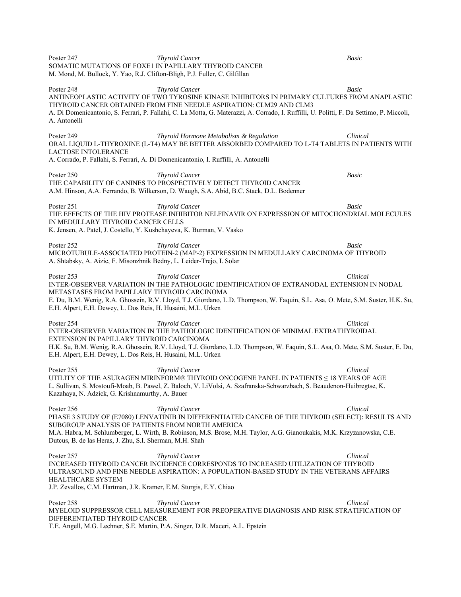SOMATIC MUTATIONS OF FOXE1 IN PAPILLARY THYROID CANCER M. Mond, M. Bullock, Y. Yao, R.J. Clifton-Bligh, P.J. Fuller, C. Gilfillan Poster 248 *Thyroid Cancer Basic*  ANTINEOPLASTIC ACTIVITY OF TWO TYROSINE KINASE INHIBITORS IN PRIMARY CULTURES FROM ANAPLASTIC THYROID CANCER OBTAINED FROM FINE NEEDLE ASPIRATION: CLM29 AND CLM3 A. Di Domenicantonio, S. Ferrari, P. Fallahi, C. La Motta, G. Materazzi, A. Corrado, I. Ruffilli, U. Politti, F. Da Settimo, P. Miccoli, A. Antonelli Poster 249 *Thyroid Hormone Metabolism & Regulation Clinical*  ORAL LIQUID L-THYROXINE (L-T4) MAY BE BETTER ABSORBED COMPARED TO L-T4 TABLETS IN PATIENTS WITH LACTOSE INTOLERANCE A. Corrado, P. Fallahi, S. Ferrari, A. Di Domenicantonio, I. Ruffilli, A. Antonelli Poster 250 *Thyroid Cancer Basic*  THE CAPABILITY OF CANINES TO PROSPECTIVELY DETECT THYROID CANCER A.M. Hinson, A.A. Ferrando, B. Wilkerson, D. Waugh, S.A. Abid, B.C. Stack, D.L. Bodenner **Poster 251 Thyroid Cancer Basic Basic Basic** THE EFFECTS OF THE HIV PROTEASE INHIBITOR NELFINAVIR ON EXPRESSION OF MITOCHONDRIAL MOLECULES IN MEDULLARY THYROID CANCER CELLS K. Jensen, A. Patel, J. Costello, Y. Kushchayeva, K. Burman, V. Vasko Poster 252 *Thyroid Cancer Basic*  MICROTUBULE-ASSOCIATED PROTEIN-2 (MAP-2) EXPRESSION IN MEDULLARY CARCINOMA OF THYROID A. Shtabsky, A. Aizic, F. Misonzhnik Bedny, L. Leider-Trejo, I. Solar Poster 253 *Thyroid Cancer Clinical*  INTER-OBSERVER VARIATION IN THE PATHOLOGIC IDENTIFICATION OF EXTRANODAL EXTENSION IN NODAL METASTASES FROM PAPILLARY THYROID CARCINOMA E. Du, B.M. Wenig, R.A. Ghossein, R.V. Lloyd, T.J. Giordano, L.D. Thompson, W. Faquin, S.L. Asa, O. Mete, S.M. Suster, H.K. Su, E.H. Alpert, E.H. Dewey, L. Dos Reis, H. Husaini, M.L. Urken Poster 254 *Thyroid Cancer Clinical*  INTER-OBSERVER VARIATION IN THE PATHOLOGIC IDENTIFICATION OF MINIMAL EXTRATHYROIDAL EXTENSION IN PAPILLARY THYROID CARCINOMA H.K. Su, B.M. Wenig, R.A. Ghossein, R.V. Lloyd, T.J. Giordano, L.D. Thompson, W. Faquin, S.L. Asa, O. Mete, S.M. Suster, E. Du, E.H. Alpert, E.H. Dewey, L. Dos Reis, H. Husaini, M.L. Urken Poster 255 *Thyroid Cancer Clinical*  UTILITY OF THE ASURAGEN MIRINFORM® THYROID ONCOGENE PANEL IN PATIENTS ≤ 18 YEARS OF AGE L. Sullivan, S. Mostoufi-Moab, B. Pawel, Z. Baloch, V. LiVolsi, A. Szafranska-Schwarzbach, S. Beaudenon-Huibregtse, K. Kazahaya, N. Adzick, G. Krishnamurthy, A. Bauer Poster 256 **Thyroid Cancer Clinical**  *Thyroid Cancer* **Clinical** *Clinical*PHASE 3 STUDY OF (E7080) LENVATINIB IN DIFFERENTIATED CANCER OF THE THYROID (SELECT): RESULTS AND SUBGROUP ANALYSIS OF PATIENTS FROM NORTH AMERICA M.A. Habra, M. Schlumberger, L. Wirth, B. Robinson, M.S. Brose, M.H. Taylor, A.G. Gianoukakis, M.K. Krzyzanowska, C.E. Dutcus, B. de las Heras, J. Zhu, S.I. Sherman, M.H. Shah Poster 257 *Thyroid Cancer* **Clinical**  *Thyroid Cancer* **Clinical** *Clinical*INCREASED THYROID CANCER INCIDENCE CORRESPONDS TO INCREASED UTILIZATION OF THYROID ULTRASOUND AND FINE NEEDLE ASPIRATION: A POPULATION-BASED STUDY IN THE VETERANS AFFAIRS HEALTHCARE SYSTEM J.P. Zevallos, C.M. Hartman, J.R. Kramer, E.M. Sturgis, E.Y. Chiao Poster 258 **Thyroid Cancer The Clinical The Clinical Clinical Clinical Clinical Clinical** MYELOID SUPPRESSOR CELL MEASUREMENT FOR PREOPERATIVE DIAGNOSIS AND RISK STRATIFICATION OF DIFFERENTIATED THYROID CANCER

T.E. Angell, M.G. Lechner, S.E. Martin, P.A. Singer, D.R. Maceri, A.L. Epstein

Poster 247 *Thyroid Cancer Basic*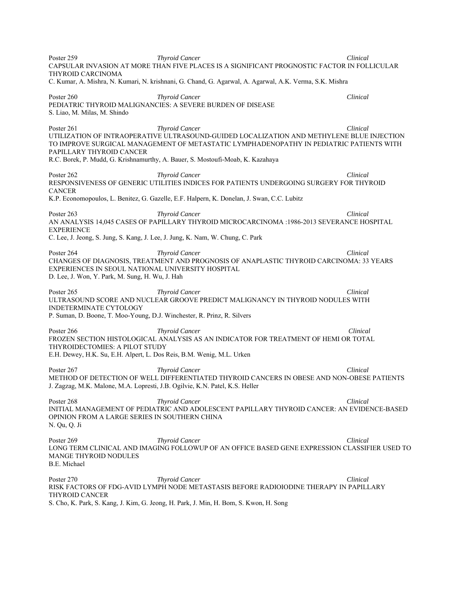Poster 259 **Thyroid Cancer The Clinical**  *Thyroid Cancer* **Clinical** *Clinical Clinical Clinical Clinical Clinical Clinical Clinical Clinical Clinical Clinical Clinical Clinical Clinical Clinic* CAPSULAR INVASION AT MORE THAN FIVE PLACES IS A SIGNIFICANT PROGNOSTIC FACTOR IN FOLLICULAR THYROID CARCINOMA C. Kumar, A. Mishra, N. Kumari, N. krishnani, G. Chand, G. Agarwal, A. Agarwal, A.K. Verma, S.K. Mishra Poster 260 *Thyroid Cancer* **Clinical**  *Thyroid Cancer* **Clinical** *Clinical*PEDIATRIC THYROID MALIGNANCIES: A SEVERE BURDEN OF DISEASE S. Liao, M. Milas, M. Shindo Poster 261 *Thyroid Cancer Clinical*  UTILIZATION OF INTRAOPERATIVE ULTRASOUND-GUIDED LOCALIZATION AND METHYLENE BLUE INJECTION TO IMPROVE SURGICAL MANAGEMENT OF METASTATIC LYMPHADENOPATHY IN PEDIATRIC PATIENTS WITH PAPILLARY THYROID CANCER R.C. Borek, P. Mudd, G. Krishnamurthy, A. Bauer, S. Mostoufi-Moab, K. Kazahaya Poster 262 *Thyroid Cancer* **Clinical**  *Thyroid Cancer* **Clinical** *Clinical*RESPONSIVENESS OF GENERIC UTILITIES INDICES FOR PATIENTS UNDERGOING SURGERY FOR THYROID **CANCER** K.P. Economopoulos, L. Benitez, G. Gazelle, E.F. Halpern, K. Donelan, J. Swan, C.C. Lubitz Poster 263 **Thyroid Cancer** Clinical **Clinical Clinical Clinical Clinical Clinical** AN ANALYSIS 14,045 CASES OF PAPILLARY THYROID MICROCARCINOMA :1986-2013 SEVERANCE HOSPITAL **EXPERIENCE** C. Lee, J. Jeong, S. Jung, S. Kang, J. Lee, J. Jung, K. Nam, W. Chung, C. Park Poster 264 *Thyroid Cancer Clinical*  CHANGES OF DIAGNOSIS, TREATMENT AND PROGNOSIS OF ANAPLASTIC THYROID CARCINOMA: 33 YEARS EXPERIENCES IN SEOUL NATIONAL UNIVERSITY HOSPITAL D. Lee, J. Won, Y. Park, M. Sung, H. Wu, J. Hah Poster 265 *Thyroid Cancer Clinical*  ULTRASOUND SCORE AND NUCLEAR GROOVE PREDICT MALIGNANCY IN THYROID NODULES WITH INDETERMINATE CYTOLOGY P. Suman, D. Boone, T. Moo-Young, D.J. Winchester, R. Prinz, R. Silvers Poster 266 *Thyroid Cancer Clinical*  FROZEN SECTION HISTOLOGICAL ANALYSIS AS AN INDICATOR FOR TREATMENT OF HEMI OR TOTAL THYROIDECTOMIES: A PILOT STUDY E.H. Dewey, H.K. Su, E.H. Alpert, L. Dos Reis, B.M. Wenig, M.L. Urken Poster 267 *Thyroid Cancer Clinical*  METHOD OF DETECTION OF WELL DIFFERENTIATED THYROID CANCERS IN OBESE AND NON-OBESE PATIENTS J. Zagzag, M.K. Malone, M.A. Lopresti, J.B. Ogilvie, K.N. Patel, K.S. Heller Poster 268 *Thyroid Cancer Clinical*  INITIAL MANAGEMENT OF PEDIATRIC AND ADOLESCENT PAPILLARY THYROID CANCER: AN EVIDENCE-BASED OPINION FROM A LARGE SERIES IN SOUTHERN CHINA N. Qu, Q. Ji Poster 269 *Thyroid Cancer* **Clinical**  *Thyroid Cancer* **Clinical** *Clinical*LONG TERM CLINICAL AND IMAGING FOLLOWUP OF AN OFFICE BASED GENE EXPRESSION CLASSIFIER USED TO MANGE THYROID NODULES B.E. Michael Poster 270 *Thyroid Cancer* **Clinical**  *Thyroid Cancer* **Clinical** *Clinical*RISK FACTORS OF FDG-AVID LYMPH NODE METASTASIS BEFORE RADIOIODINE THERAPY IN PAPILLARY THYROID CANCER

S. Cho, K. Park, S. Kang, J. Kim, G. Jeong, H. Park, J. Min, H. Bom, S. Kwon, H. Song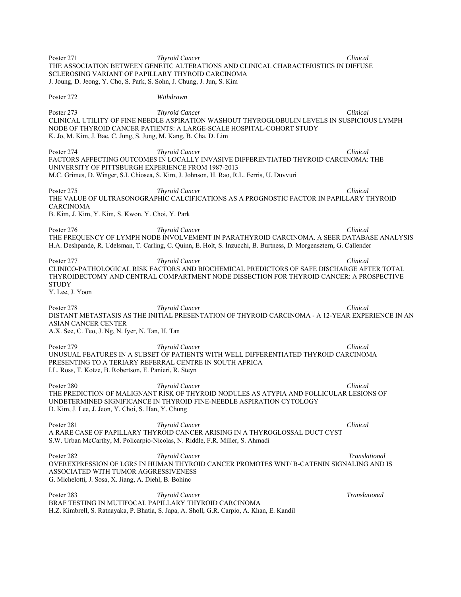Poster 271 *Thyroid Cancer Clinical*  THE ASSOCIATION BETWEEN GENETIC ALTERATIONS AND CLINICAL CHARACTERISTICS IN DIFFUSE SCLEROSING VARIANT OF PAPILLARY THYROID CARCINOMA J. Joung, D. Jeong, Y. Cho, S. Park, S. Sohn, J. Chung, J. Jun, S. Kim Poster 272 *Withdrawn*  Poster 273 *Thyroid Cancer Clinical*  CLINICAL UTILITY OF FINE NEEDLE ASPIRATION WASHOUT THYROGLOBULIN LEVELS IN SUSPICIOUS LYMPH NODE OF THYROID CANCER PATIENTS: A LARGE-SCALE HOSPITAL-COHORT STUDY K. Jo, M. Kim, J. Bae, C. Jung, S. Jung, M. Kang, B. Cha, D. Lim Poster 274 *Thyroid Cancer Clinical*  FACTORS AFFECTING OUTCOMES IN LOCALLY INVASIVE DIFFERENTIATED THYROID CARCINOMA: THE UNIVERSITY OF PITTSBURGH EXPERIENCE FROM 1987-2013 M.C. Grimes, D. Winger, S.I. Chiosea, S. Kim, J. Johnson, H. Rao, R.L. Ferris, U. Duvvuri Poster 275 **Thyroid Cancer The Clinical**  *Thyroid Cancer* **Clinical** *Clinical*THE VALUE OF ULTRASONOGRAPHIC CALCIFICATIONS AS A PROGNOSTIC FACTOR IN PAPILLARY THYROID CARCINOMA B. Kim, J. Kim, Y. Kim, S. Kwon, Y. Choi, Y. Park Poster 276 *Thyroid Cancer Clinical*  THE FREQUENCY OF LYMPH NODE INVOLVEMENT IN PARATHYROID CARCINOMA. A SEER DATABASE ANALYSIS H.A. Deshpande, R. Udelsman, T. Carling, C. Quinn, E. Holt, S. Inzucchi, B. Burtness, D. Morgensztern, G. Callender Poster 277 *Thyroid Cancer Clinical*  CLINICO-PATHOLOGICAL RISK FACTORS AND BIOCHEMICAL PREDICTORS OF SAFE DISCHARGE AFTER TOTAL THYROIDECTOMY AND CENTRAL COMPARTMENT NODE DISSECTION FOR THYROID CANCER: A PROSPECTIVE **STUDY** Y. Lee, J. Yoon Poster 278 *Thyroid Cancer Clinical*  DISTANT METASTASIS AS THE INITIAL PRESENTATION OF THYROID CARCINOMA - A 12-YEAR EXPERIENCE IN AN ASIAN CANCER CENTER A.X. See, C. Teo, J. Ng, N. Iyer, N. Tan, H. Tan Poster 279 *Thyroid Cancer Clinical*  UNUSUAL FEATURES IN A SUBSET OF PATIENTS WITH WELL DIFFERENTIATED THYROID CARCINOMA PRESENTING TO A TERIARY REFERRAL CENTRE IN SOUTH AFRICA I.L. Ross, T. Kotze, B. Robertson, E. Panieri, R. Steyn Poster 280 *Thyroid Cancer* **Clinical**  *Thyroid Cancer* **Clinical** *Clinical*THE PREDICTION OF MALIGNANT RISK OF THYROID NODULES AS ATYPIA AND FOLLICULAR LESIONS OF UNDETERMINED SIGNIFICANCE IN THYROID FINE-NEEDLE ASPIRATION CYTOLOGY D. Kim, J. Lee, J. Jeon, Y. Choi, S. Han, Y. Chung Poster 281 *Thyroid Cancer Clinical*  A RARE CASE OF PAPILLARY THYROID CANCER ARISING IN A THYROGLOSSAL DUCT CYST S.W. Urban McCarthy, M. Policarpio-Nicolas, N. Riddle, F.R. Miller, S. Ahmadi Poster 282 **Thyroid Cancer** Translational **Translational Translational Translational** OVEREXPRESSION OF LGR5 IN HUMAN THYROID CANCER PROMOTES WNT/ Β-CATENIN SIGNALING AND IS ASSOCIATED WITH TUMOR AGGRESSIVENESS G. Michelotti, J. Sosa, X. Jiang, A. Diehl, B. Bohinc Poster 283 **Thyroid Cancer** Translational **Translational Translational Translational** BRAF TESTING IN MUTIFOCAL PAPILLARY THYROID CARCINOMA H.Z. Kimbrell, S. Ratnayaka, P. Bhatia, S. Japa, A. Sholl, G.R. Carpio, A. Khan, E. Kandil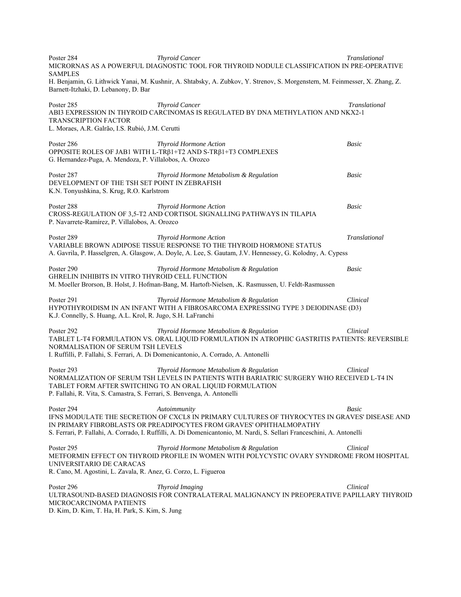Poster 284 **Thyroid Cancer Translational**  Translational **Translational Translational** MICRORNAS AS A POWERFUL DIAGNOSTIC TOOL FOR THYROID NODULE CLASSIFICATION IN PRE-OPERATIVE SAMPLES H. Benjamin, G. Lithwick Yanai, M. Kushnir, A. Shtabsky, A. Zubkov, Y. Strenov, S. Morgenstern, M. Feinmesser, X. Zhang, Z. Barnett-Itzhaki, D. Lebanony, D. Bar Poster 285 **Thyroid Cancer** Translational **Translational Translational Translational** ABI3 EXPRESSION IN THYROID CARCINOMAS IS REGULATED BY DNA METHYLATION AND NKX2-1 TRANSCRIPTION FACTOR L. Moraes, A.R. Galrão, I.S. Rubió, J.M. Cerutti Poster 286 *Thyroid Hormone Action Basic*  OPPOSITE ROLES OF JAB1 WITH L-TRβ1+T2 AND S-TRβ1+T3 COMPLEXES G. Hernandez-Puga, A. Mendoza, P. Villalobos, A. Orozco Poster 287 *Thyroid Hormone Metabolism & Regulation Basic*  DEVELOPMENT OF THE TSH SET POINT IN ZEBRAFISH K.N. Tonyushkina, S. Krug, R.O. Karlstrom Poster 288 *Thyroid Hormone Action Basic*  CROSS-REGULATION OF 3,5-T2 AND CORTISOL SIGNALLING PATHWAYS IN TILAPIA P. Navarrete-Ramírez, P. Villalobos, A. Orozco Poster 289 *Thyroid Hormone Action Translational*  VARIABLE BROWN ADIPOSE TISSUE RESPONSE TO THE THYROID HORMONE STATUS A. Gavrila, P. Hasselgren, A. Glasgow, A. Doyle, A. Lee, S. Gautam, J.V. Hennessey, G. Kolodny, A. Cypess Poster 290 *Thyroid Hormone Metabolism & Regulation Basic*  GHRELIN INHIBITS IN VITRO THYROID CELL FUNCTION M. Moeller Brorson, B. Holst, J. Hofman-Bang, M. Hartoft-Nielsen, .K. Rasmussen, U. Feldt-Rasmussen Poster 291 *Thyroid Hormone Metabolism & Regulation Clinical*  HYPOTHYROIDISM IN AN INFANT WITH A FIBROSARCOMA EXPRESSING TYPE 3 DEIODINASE (D3) K.J. Connelly, S. Huang, A.L. Krol, R. Jugo, S.H. LaFranchi Poster 292 *Thyroid Hormone Metabolism & Regulation Clinical*  TABLET L-T4 FORMULATION VS. ORAL LIQUID FORMULATION IN ATROPHIC GASTRITIS PATIENTS: REVERSIBLE NORMALISATION OF SERUM TSH LEVELS I. Ruffilli, P. Fallahi, S. Ferrari, A. Di Domenicantonio, A. Corrado, A. Antonelli Poster 293 *Thyroid Hormone Metabolism & Regulation Clinical*  NORMALIZATION OF SERUM TSH LEVELS IN PATIENTS WITH BARIATRIC SURGERY WHO RECEIVED L-T4 IN TABLET FORM AFTER SWITCHING TO AN ORAL LIQUID FORMULATION P. Fallahi, R. Vita, S. Camastra, S. Ferrari, S. Benvenga, A. Antonelli Poster 294 *Autoimmunity Basic*  IFNS MODULATE THE SECRETION OF CXCL8 IN PRIMARY CULTURES OF THYROCYTES IN GRAVES' DISEASE AND IN PRIMARY FIBROBLASTS OR PREADIPOCYTES FROM GRAVES' OPHTHALMOPATHY S. Ferrari, P. Fallahi, A. Corrado, I. Ruffilli, A. Di Domenicantonio, M. Nardi, S. Sellari Franceschini, A. Antonelli Poster 295 *Thyroid Hormone Metabolism & Regulation Clinical*  METFORMIN EFFECT ON THYROID PROFILE IN WOMEN WITH POLYCYSTIC OVARY SYNDROME FROM HOSPITAL UNIVERSITARIO DE CARACAS R. Cano, M. Agostini, L. Zavala, R. Anez, G. Corzo, L. Figueroa Poster 296 *Thyroid Imaging* **Clinical**  *Clinical* **Clinical** ULTRASOUND-BASED DIAGNOSIS FOR CONTRALATERAL MALIGNANCY IN PREOPERATIVE PAPILLARY THYROID MICROCARCINOMA PATIENTS D. Kim, D. Kim, T. Ha, H. Park, S. Kim, S. Jung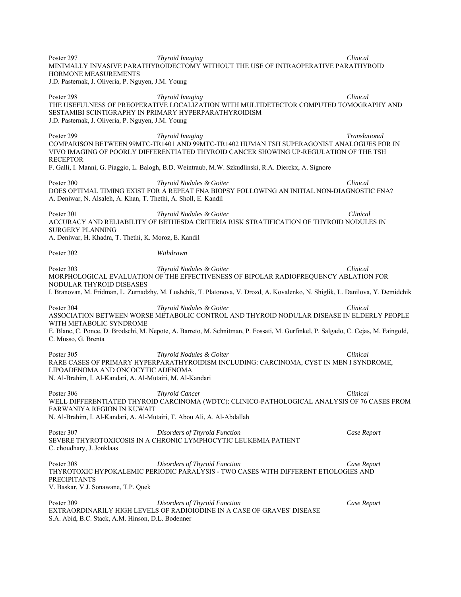Poster 297 *Thyroid Imaging Clinical*  MINIMALLY INVASIVE PARATHYROIDECTOMY WITHOUT THE USE OF INTRAOPERATIVE PARATHYROID HORMONE MEASUREMENTS J.D. Pasternak, J. Oliveria, P. Nguyen, J.M. Young Poster 298 *Thyroid Imaging* Clinical **Clinical** *Clinical Clinical Clinical Clinical Clinical Clinical Clinical Clinical Clinical Clinical Clinical Clinical Clinical Clinical Clinical Clini* THE USEFULNESS OF PREOPERATIVE LOCALIZATION WITH MULTIDETECTOR COMPUTED TOMOGRAPHY AND SESTAMIBI SCINTIGRAPHY IN PRIMARY HYPERPARATHYROIDISM J.D. Pasternak, J. Oliveria, P. Nguyen, J.M. Young Poster 299 *Thyroid Imaging Translational*  COMPARISON BETWEEN 99MTC-TR1401 AND 99MTC-TR1402 HUMAN TSH SUPERAGONIST ANALOGUES FOR IN VIVO IMAGING OF POORLY DIFFERENTIATED THYROID CANCER SHOWING UP-REGULATION OF THE TSH RECEPTOR F. Galli, I. Manni, G. Piaggio, L. Balogh, B.D. Weintraub, M.W. Szkudlinski, R.A. Dierckx, A. Signore Poster 300 *Thyroid Nodules & Goiter Clinical*  DOES OPTIMAL TIMING EXIST FOR A REPEAT FNA BIOPSY FOLLOWING AN INITIAL NON-DIAGNOSTIC FNA? A. Deniwar, N. Alsaleh, A. Khan, T. Thethi, A. Sholl, E. Kandil Poster 301 *Thyroid Nodules & Goiter Clinical*  ACCURACY AND RELIABILITY OF BETHESDA CRITERIA RISK STRATIFICATION OF THYROID NODULES IN SURGERY PLANNING A. Deniwar, H. Khadra, T. Thethi, K. Moroz, E. Kandil Poster 302 *Withdrawn* Poster 303 *Thyroid Nodules & Goiter Clinical*  MORPHOLOGICAL EVALUATION OF THE EFFECTIVENESS OF BIPOLAR RADIOFREQUENCY ABLATION FOR NODULAR THYROID DISEASES I. Branovan, M. Fridman, L. Zurnadzhy, M. Lushchik, T. Platonova, V. Drozd, A. Kovalenko, N. Shiglik, L. Danilova, Y. Demidchik Poster 304 *Thyroid Nodules & Goiter Clinical*  ASSOCIATION BETWEEN WORSE METABOLIC CONTROL AND THYROID NODULAR DISEASE IN ELDERLY PEOPLE WITH METABOLIC SYNDROME E. Blanc, C. Ponce, D. Brodschi, M. Nepote, A. Barreto, M. Schnitman, P. Fossati, M. Gurfinkel, P. Salgado, C. Cejas, M. Faingold, C. Musso, G. Brenta Poster 305 *Thyroid Nodules & Goiter Clinical*  RARE CASES OF PRIMARY HYPERPARATHYROIDISM INCLUDING: CARCINOMA, CYST IN MEN I SYNDROME, LIPOADENOMA AND ONCOCYTIC ADENOMA N. Al-Brahim, I. Al-Kandari, A. Al-Mutairi, M. Al-Kandari Poster 306 *Thyroid Cancer* **Clinical**  *Clinical*WELL DIFFERENTIATED THYROID CARCINOMA (WDTC): CLINICO-PATHOLOGICAL ANALYSIS OF 76 CASES FROM FARWANIYA REGION IN KUWAIT N. Al-Brahim, I. Al-Kandari, A. Al-Mutairi, T. Abou Ali, A. Al-Abdallah Poster 307 *Disorders of Thyroid Function Case Report*  SEVERE THYROTOXICOSIS IN A CHRONIC LYMPHOCYTIC LEUKEMIA PATIENT C. choudhary, J. Jonklaas Poster 308 *Disorders of Thyroid Function Case Report*  THYROTOXIC HYPOKALEMIC PERIODIC PARALYSIS - TWO CASES WITH DIFFERENT ETIOLOGIES AND PRECIPITANTS V. Baskar, V.J. Sonawane, T.P. Quek Poster 309 *Disorders of Thyroid Function Case Report*  EXTRAORDINARILY HIGH LEVELS OF RADIOIODINE IN A CASE OF GRAVES' DISEASE S.A. Abid, B.C. Stack, A.M. Hinson, D.L. Bodenner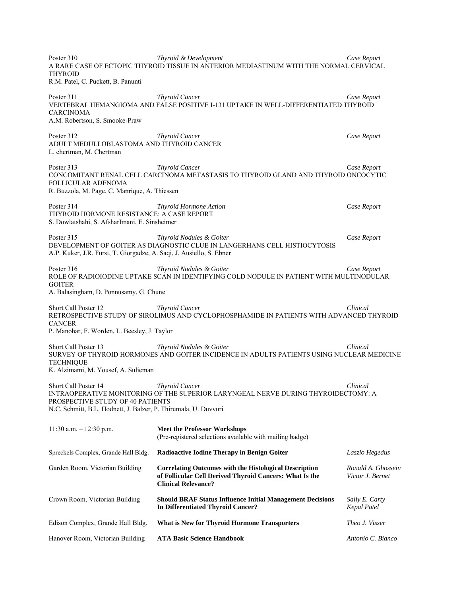Poster 310 *Thyroid & Development Case Report*  A RARE CASE OF ECTOPIC THYROID TISSUE IN ANTERIOR MEDIASTINUM WITH THE NORMAL CERVICAL THYROID R.M. Patel, C. Puckett, B. Panunti

Poster 311 *Thyroid Cancer Case Report*  VERTEBRAL HEMANGIOMA AND FALSE POSITIVE I-131 UPTAKE IN WELL-DIFFERENTIATED THYROID CARCINOMA A.M. Robertson, S. Smooke-Praw

Poster 312 *Thyroid Cancer Case Report*  ADULT MEDULLOBLASTOMA AND THYROID CANCER L. chertman, M. Chertman

Poster 313 *Thyroid Cancer Case Report*  CONCOMITANT RENAL CELL CARCINOMA METASTASIS TO THYROID GLAND AND THYROID ONCOCYTIC FOLLICULAR ADENOMA R. Buzzola, M. Page, C. Manrique, A. Thiessen

Poster 314 *Thyroid Hormone Action Case Report*  THYROID HORMONE RESISTANCE: A CASE REPORT S. Dowlatshahi, S. AfsharImani, E. Sinsheimer

Poster 315 *Thyroid Nodules & Goiter Case Report*  DEVELOPMENT OF GOITER AS DIAGNOSTIC CLUE IN LANGERHANS CELL HISTIOCYTOSIS A.P. Kuker, J.R. Furst, T. Giorgadze, A. Saqi, J. Ausiello, S. Ebner

Poster 316 *Thyroid Nodules & Goiter Case Report*  ROLE OF RADIOIODINE UPTAKE SCAN IN IDENTIFYING COLD NODULE IN PATIENT WITH MULTINODULAR **GOITER** A. Balasingham, D. Ponnusamy, G. Chune

Short Call Poster 12 *Thyroid Cancer Clinical*  RETROSPECTIVE STUDY OF SIROLIMUS AND CYCLOPHOSPHAMIDE IN PATIENTS WITH ADVANCED THYROID **CANCER** P. Manohar, F. Worden, L. Beesley, J. Taylor

Short Call Poster 13 *Thyroid Nodules & Goiter Clinical*  SURVEY OF THYROID HORMONES AND GOITER INCIDENCE IN ADULTS PATIENTS USING NUCLEAR MEDICINE **TECHNIOUE** K. Alzimami, M. Yousef, A. Sulieman

Short Call Poster 14 *Thyroid Cancer Clinical*  INTRAOPERATIVE MONITORING OF THE SUPERIOR LARYNGEAL NERVE DURING THYROIDECTOMY: A PROSPECTIVE STUDY OF 40 PATIENTS N.C. Schmitt, B.L. Hodnett, J. Balzer, P. Thirumala, U. Duvvuri

| $11:30$ a.m. $-12:30$ p.m.           | <b>Meet the Professor Workshops</b><br>(Pre-registered selections available with mailing badge)                                                        |                                        |
|--------------------------------------|--------------------------------------------------------------------------------------------------------------------------------------------------------|----------------------------------------|
| Spreckels Complex, Grande Hall Bldg. | <b>Radioactive Iodine Therapy in Benign Goiter</b>                                                                                                     | Laszlo Hegedus                         |
| Garden Room, Victorian Building      | <b>Correlating Outcomes with the Histological Description</b><br>of Follicular Cell Derived Thyroid Cancers: What Is the<br><b>Clinical Relevance?</b> | Ronald A. Ghossein<br>Victor J. Bernet |
| Crown Room, Victorian Building       | <b>Should BRAF Status Influence Initial Management Decisions</b><br>In Differentiated Thyroid Cancer?                                                  | Sally E. Carty<br>Kepal Patel          |
| Edison Complex, Grande Hall Bldg.    | <b>What is New for Thyroid Hormone Transporters</b>                                                                                                    | Theo J. Visser                         |
| Hanover Room, Victorian Building     | <b>ATA Basic Science Handbook</b>                                                                                                                      | Antonio C. Bianco                      |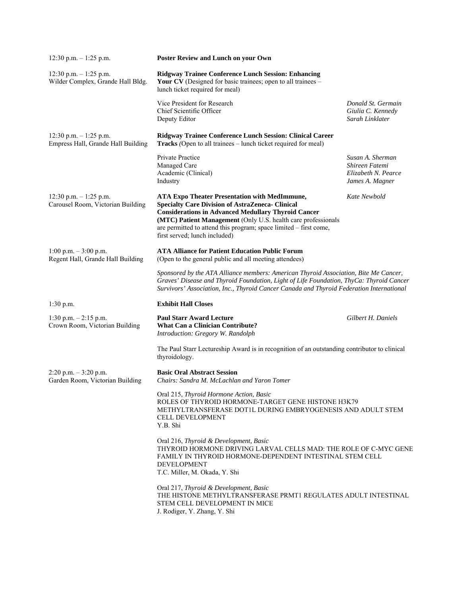| $12:30$ p.m. $-1:25$ p.m.                                       | <b>Poster Review and Lunch on your Own</b>                                                                                                                                                                                                                                                                                                           |                                                                              |
|-----------------------------------------------------------------|------------------------------------------------------------------------------------------------------------------------------------------------------------------------------------------------------------------------------------------------------------------------------------------------------------------------------------------------------|------------------------------------------------------------------------------|
| $12:30$ p.m. $-1:25$ p.m.<br>Wilder Complex, Grande Hall Bldg.  | <b>Ridgway Trainee Conference Lunch Session: Enhancing</b><br>Your CV (Designed for basic trainees; open to all trainees $-$<br>lunch ticket required for meal)                                                                                                                                                                                      |                                                                              |
|                                                                 | Vice President for Research<br>Chief Scientific Officer<br>Deputy Editor                                                                                                                                                                                                                                                                             | Donald St. Germain<br>Giulia C. Kennedy<br>Sarah Linklater                   |
| $12:30$ p.m. $-1:25$ p.m.<br>Empress Hall, Grande Hall Building | Ridgway Trainee Conference Lunch Session: Clinical Career<br>Tracks (Open to all trainees – lunch ticket required for meal)                                                                                                                                                                                                                          |                                                                              |
|                                                                 | Private Practice<br>Managed Care<br>Academic (Clinical)<br>Industry                                                                                                                                                                                                                                                                                  | Susan A. Sherman<br>Shireen Fatemi<br>Elizabeth N. Pearce<br>James A. Magner |
| $12:30$ p.m. $-1:25$ p.m.<br>Carousel Room, Victorian Building  | <b>ATA Expo Theater Presentation with MedImmune,</b><br><b>Specialty Care Division of AstraZeneca- Clinical</b><br><b>Considerations in Advanced Medullary Thyroid Cancer</b><br>(MTC) Patient Management (Only U.S. health care professionals<br>are permitted to attend this program; space limited - first come,<br>first served; lunch included) | Kate Newbold                                                                 |
| $1:00$ p.m. $-3:00$ p.m.<br>Regent Hall, Grande Hall Building   | <b>ATA Alliance for Patient Education Public Forum</b><br>(Open to the general public and all meeting attendees)                                                                                                                                                                                                                                     |                                                                              |
|                                                                 | Sponsored by the ATA Alliance members: American Thyroid Association, Bite Me Cancer,<br>Graves' Disease and Thyroid Foundation, Light of Life Foundation, ThyCa: Thyroid Cancer<br>Survivors' Association, Inc., Thyroid Cancer Canada and Thyroid Federation International                                                                          |                                                                              |
| $1:30$ p.m.                                                     | <b>Exhibit Hall Closes</b>                                                                                                                                                                                                                                                                                                                           |                                                                              |
| $1:30$ p.m. $-2:15$ p.m.<br>Crown Room, Victorian Building      | <b>Paul Starr Award Lecture</b><br><b>What Can a Clinician Contribute?</b><br>Introduction: Gregory W. Randolph                                                                                                                                                                                                                                      | Gilbert H. Daniels                                                           |
|                                                                 | The Paul Starr Lectureship Award is in recognition of an outstanding contributor to clinical<br>thyroidology.                                                                                                                                                                                                                                        |                                                                              |
| $2:20$ p.m. $-3:20$ p.m.<br>Garden Room, Victorian Building     | <b>Basic Oral Abstract Session</b><br>Chairs: Sandra M. McLachlan and Yaron Tomer                                                                                                                                                                                                                                                                    |                                                                              |
|                                                                 | Oral 215, Thyroid Hormone Action, Basic<br>ROLES OF THYROID HORMONE-TARGET GENE HISTONE H3K79<br>METHYLTRANSFERASE DOT1L DURING EMBRYOGENESIS AND ADULT STEM<br><b>CELL DEVELOPMENT</b><br>Y.B. Shi                                                                                                                                                  |                                                                              |
|                                                                 | Oral 216, Thyroid & Development, Basic<br>THYROID HORMONE DRIVING LARVAL CELLS MAD: THE ROLE OF C-MYC GENE<br><b>FAMILY IN THYROID HORMONE-DEPENDENT INTESTINAL STEM CELL</b><br><b>DEVELOPMENT</b><br>T.C. Miller, M. Okada, Y. Shi                                                                                                                 |                                                                              |
|                                                                 | Oral 217, Thyroid & Development, Basic<br>THE HISTONE METHYLTRANSFERASE PRMT1 REGULATES ADULT INTESTINAL<br>STEM CELL DEVELOPMENT IN MICE<br>J. Rodiger, Y. Zhang, Y. Shi                                                                                                                                                                            |                                                                              |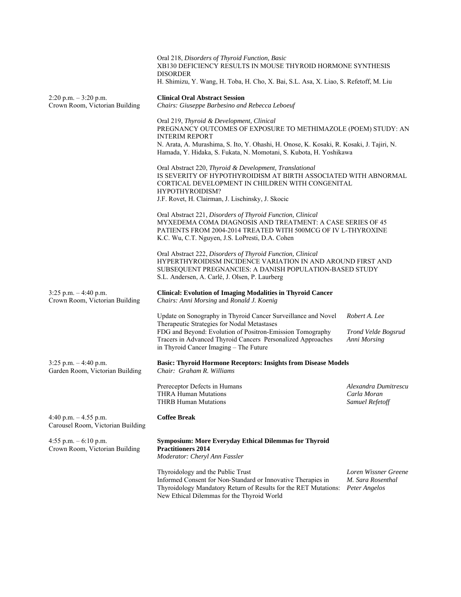|                                                             | Oral 218, Disorders of Thyroid Function, Basic<br>XB130 DEFICIENCY RESULTS IN MOUSE THYROID HORMONE SYNTHESIS<br><b>DISORDER</b><br>H. Shimizu, Y. Wang, H. Toba, H. Cho, X. Bai, S.L. Asa, X. Liao, S. Refetoff, M. Liu                                                                               |                                                            |  |
|-------------------------------------------------------------|--------------------------------------------------------------------------------------------------------------------------------------------------------------------------------------------------------------------------------------------------------------------------------------------------------|------------------------------------------------------------|--|
| $2:20$ p.m. $-3:20$ p.m.<br>Crown Room, Victorian Building  | <b>Clinical Oral Abstract Session</b><br>Chairs: Giuseppe Barbesino and Rebecca Leboeuf                                                                                                                                                                                                                |                                                            |  |
|                                                             | Oral 219, Thyroid & Development, Clinical<br>PREGNANCY OUTCOMES OF EXPOSURE TO METHIMAZOLE (POEM) STUDY: AN<br><b>INTERIM REPORT</b><br>N. Arata, A. Murashima, S. Ito, Y. Ohashi, H. Onose, K. Kosaki, R. Kosaki, J. Tajiri, N.<br>Hamada, Y. Hidaka, S. Fukata, N. Momotani, S. Kubota, H. Yoshikawa |                                                            |  |
|                                                             | Oral Abstract 220, Thyroid & Development, Translational<br>IS SEVERITY OF HYPOTHYROIDISM AT BIRTH ASSOCIATED WITH ABNORMAL<br>CORTICAL DEVELOPMENT IN CHILDREN WITH CONGENITAL<br>HYPOTHYROIDISM?<br>J.F. Rovet, H. Clairman, J. Lischinsky, J. Skocic                                                 |                                                            |  |
|                                                             | Oral Abstract 221, Disorders of Thyroid Function, Clinical<br>MYXEDEMA COMA DIAGNOSIS AND TREATMENT: A CASE SERIES OF 45<br>PATIENTS FROM 2004-2014 TREATED WITH 500MCG OF IV L-THYROXINE<br>K.C. Wu, C.T. Nguyen, J.S. LoPresti, D.A. Cohen                                                           |                                                            |  |
|                                                             | Oral Abstract 222, Disorders of Thyroid Function, Clinical<br>HYPERTHYROIDISM INCIDENCE VARIATION IN AND AROUND FIRST AND<br>SUBSEQUENT PREGNANCIES: A DANISH POPULATION-BASED STUDY<br>S.L. Andersen, A. Carlé, J. Olsen, P. Laurberg                                                                 |                                                            |  |
| $3:25$ p.m. $-4:40$ p.m.<br>Crown Room, Victorian Building  | <b>Clinical: Evolution of Imaging Modalities in Thyroid Cancer</b><br>Chairs: Anni Morsing and Ronald J. Koenig                                                                                                                                                                                        |                                                            |  |
|                                                             | Update on Sonography in Thyroid Cancer Surveillance and Novel<br>Therapeutic Strategies for Nodal Metastases<br>FDG and Beyond: Evolution of Positron-Emission Tomography<br>Tracers in Advanced Thyroid Cancers Personalized Approaches<br>in Thyroid Cancer Imaging - The Future                     | Robert A. Lee<br>Trond Velde Bogsrud<br>Anni Morsing       |  |
| $3:25$ p.m. $-4:40$ p.m.<br>Garden Room, Victorian Building | <b>Basic: Thyroid Hormone Receptors: Insights from Disease Models</b><br>Chair: Graham R. Williams                                                                                                                                                                                                     |                                                            |  |
|                                                             | Prereceptor Defects in Humans<br><b>THRA Human Mutations</b><br><b>THRB Human Mutations</b>                                                                                                                                                                                                            | Alexandra Dumitrescu<br>Carla Moran<br>Samuel Refetoff     |  |
| 4:40 p.m. $-4.55$ p.m.<br>Carousel Room, Victorian Building | <b>Coffee Break</b>                                                                                                                                                                                                                                                                                    |                                                            |  |
| 4:55 p.m. $-6:10$ p.m.<br>Crown Room, Victorian Building    | <b>Symposium: More Everyday Ethical Dilemmas for Thyroid</b><br><b>Practitioners 2014</b><br>Moderator: Cheryl Ann Fassler                                                                                                                                                                             |                                                            |  |
|                                                             | Thyroidology and the Public Trust<br>Informed Consent for Non-Standard or Innovative Therapies in<br>Thyroidology Mandatory Return of Results for the RET Mutations:                                                                                                                                   | Loren Wissner Greene<br>M. Sara Rosenthal<br>Peter Angelos |  |

New Ethical Dilemmas for the Thyroid World